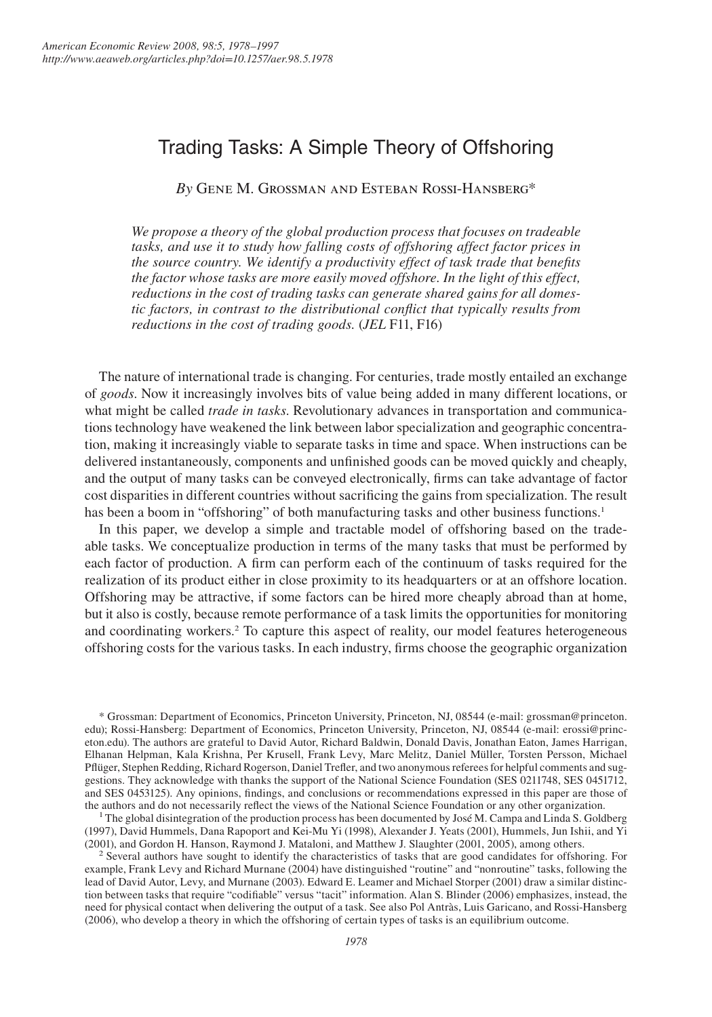# Trading Tasks: A Simple Theory of Offshoring

*By* Gene M. Grossman and Esteban Rossi-Hansberg\*

*We propose a theory of the global production process that focuses on tradeable tasks, and use it to study how falling costs of offshoring affect factor prices in the source country. We identify a productivity effect of task trade that benefits the factor whose tasks are more easily moved offshore. In the light of this effect, reductions in the cost of trading tasks can generate shared gains for all domestic factors, in contrast to the distributional conflict that typically results from reductions in the cost of trading goods.* (*JEL* F11, F16)

The nature of international trade is changing. For centuries, trade mostly entailed an exchange of *goods*. Now it increasingly involves bits of value being added in many different locations, or what might be called *trade in tasks*. Revolutionary advances in transportation and communications technology have weakened the link between labor specialization and geographic concentration, making it increasingly viable to separate tasks in time and space. When instructions can be delivered instantaneously, components and unfinished goods can be moved quickly and cheaply, and the output of many tasks can be conveyed electronically, firms can take advantage of factor cost disparities in different countries without sacrificing the gains from specialization. The result has been a boom in "offshoring" of both manufacturing tasks and other business functions.<sup>1</sup>

In this paper, we develop a simple and tractable model of offshoring based on the tradeable tasks. We conceptualize production in terms of the many tasks that must be performed by each factor of production. A firm can perform each of the continuum of tasks required for the realization of its product either in close proximity to its headquarters or at an offshore location. Offshoring may be attractive, if some factors can be hired more cheaply abroad than at home, but it also is costly, because remote performance of a task limits the opportunities for monitoring and coordinating workers.<sup>2</sup> To capture this aspect of reality, our model features heterogeneous offshoring costs for the various tasks. In each industry, firms choose the geographic organization

\* Grossman: Department of Economics, Princeton University, Princeton, NJ, 08544 (e-mail: grossman@princeton. edu); Rossi-Hansberg: Department of Economics, Princeton University, Princeton, NJ, 08544 (e-mail: erossi@princeton.edu). The authors are grateful to David Autor, Richard Baldwin, Donald Davis, Jonathan Eaton, James Harrigan, Elhanan Helpman, Kala Krishna, Per Krusell, Frank Levy, Marc Melitz, Daniel Müller, Torsten Persson, Michael Pflüger, Stephen Redding, Richard Rogerson, Daniel Trefler, and two anonymous referees for helpful comments and suggestions. They acknowledge with thanks the support of the National Science Foundation (SES 0211748, SES 0451712, and SES 0453125). Any opinions, findings, and conclusions or recommendations expressed in this paper are those of the authors and do not necessarily reflect the views of the National Science Foundation or any other organization.

 $1$ <sup>1</sup> The global disintegration of the production process has been documented by José M. Campa and Linda S. Goldberg (1997), David Hummels, Dana Rapoport and Kei-Mu Yi (1998), Alexander J. Yeats (2001), Hummels, Jun Ishii, and Yi (2001), and Gordon H. Hanson, Raymond J. Mataloni, and Matthew J. Slaughter (2001, 2005), among others. 2 Several authors have sought to identify the characteristics of tasks that are good candidates for offshoring. For

example, Frank Levy and Richard Murnane (2004) have distinguished "routine" and "nonroutine" tasks, following the lead of David Autor, Levy, and Murnane (2003). Edward E. Leamer and Michael Storper (2001) draw a similar distinction between tasks that require "codifiable" versus "tacit" information. Alan S. Blinder (2006) emphasizes, instead, the need for physical contact when delivering the output of a task. See also Pol Antràs, Luis Garicano, and Rossi-Hansberg (2006), who develop a theory in which the offshoring of certain types of tasks is an equilibrium outcome.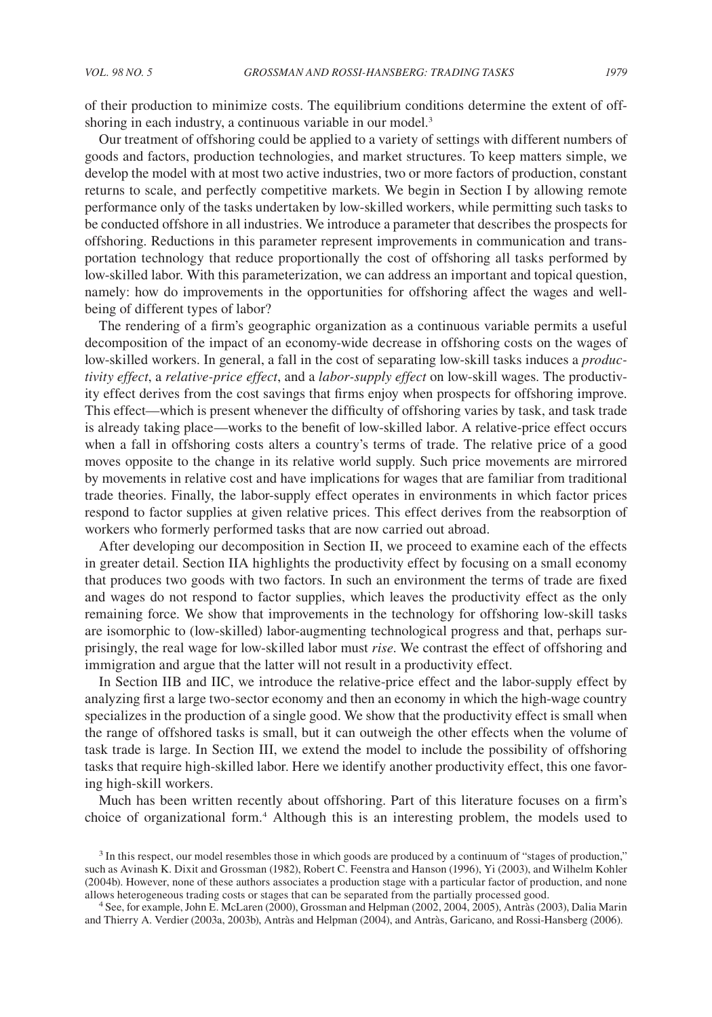of their production to minimize costs. The equilibrium conditions determine the extent of offshoring in each industry, a continuous variable in our model.<sup>3</sup>

Our treatment of offshoring could be applied to a variety of settings with different numbers of goods and factors, production technologies, and market structures. To keep matters simple, we develop the model with at most two active industries, two or more factors of production, constant returns to scale, and perfectly competitive markets. We begin in Section I by allowing remote performance only of the tasks undertaken by low-skilled workers, while permitting such tasks to be conducted offshore in all industries. We introduce a parameter that describes the prospects for offshoring. Reductions in this parameter represent improvements in communication and transportation technology that reduce proportionally the cost of offshoring all tasks performed by low-skilled labor. With this parameterization, we can address an important and topical question, namely: how do improvements in the opportunities for offshoring affect the wages and wellbeing of different types of labor?

The rendering of a firm's geographic organization as a continuous variable permits a useful decomposition of the impact of an economy-wide decrease in offshoring costs on the wages of low-skilled workers. In general, a fall in the cost of separating low-skill tasks induces a *productivity effect*, a *relative-price effect*, and a *labor-supply effect* on low-skill wages. The productivity effect derives from the cost savings that firms enjoy when prospects for offshoring improve. This effect—which is present whenever the difficulty of offshoring varies by task, and task trade is already taking place—works to the benefit of low-skilled labor. A relative-price effect occurs when a fall in offshoring costs alters a country's terms of trade. The relative price of a good moves opposite to the change in its relative world supply. Such price movements are mirrored by movements in relative cost and have implications for wages that are familiar from traditional trade theories. Finally, the labor-supply effect operates in environments in which factor prices respond to factor supplies at given relative prices. This effect derives from the reabsorption of workers who formerly performed tasks that are now carried out abroad.

After developing our decomposition in Section II, we proceed to examine each of the effects in greater detail. Section IIA highlights the productivity effect by focusing on a small economy that produces two goods with two factors. In such an environment the terms of trade are fixed and wages do not respond to factor supplies, which leaves the productivity effect as the only remaining force. We show that improvements in the technology for offshoring low-skill tasks are isomorphic to (low-skilled) labor-augmenting technological progress and that, perhaps surprisingly, the real wage for low-skilled labor must *rise*. We contrast the effect of offshoring and immigration and argue that the latter will not result in a productivity effect.

In Section IIB and IIC, we introduce the relative-price effect and the labor-supply effect by analyzing first a large two-sector economy and then an economy in which the high-wage country specializes in the production of a single good. We show that the productivity effect is small when the range of offshored tasks is small, but it can outweigh the other effects when the volume of task trade is large. In Section III, we extend the model to include the possibility of offshoring tasks that require high-skilled labor. Here we identify another productivity effect, this one favoring high-skill workers.

Much has been written recently about offshoring. Part of this literature focuses on a firm's choice of organizational form.4 Although this is an interesting problem, the models used to

<sup>3</sup> In this respect, our model resembles those in which goods are produced by a continuum of "stages of production," such as Avinash K. Dixit and Grossman (1982), Robert C. Feenstra and Hanson (1996), Yi (2003), and Wilhelm Kohler (2004b). However, none of these authors associates a production stage with a particular factor of production, and none allows heterogeneous trading costs or stages that can be separated from the partially processed good.<br><sup>4</sup> See, for example, John E. McLaren (2000), Grossman and Helpman (2002, 2004, 2005), Antràs (2003), Dalia Marin

and Thierry A. Verdier (2003a, 2003b), Antràs and Helpman (2004), and Antràs, Garicano, and Rossi-Hansberg (2006).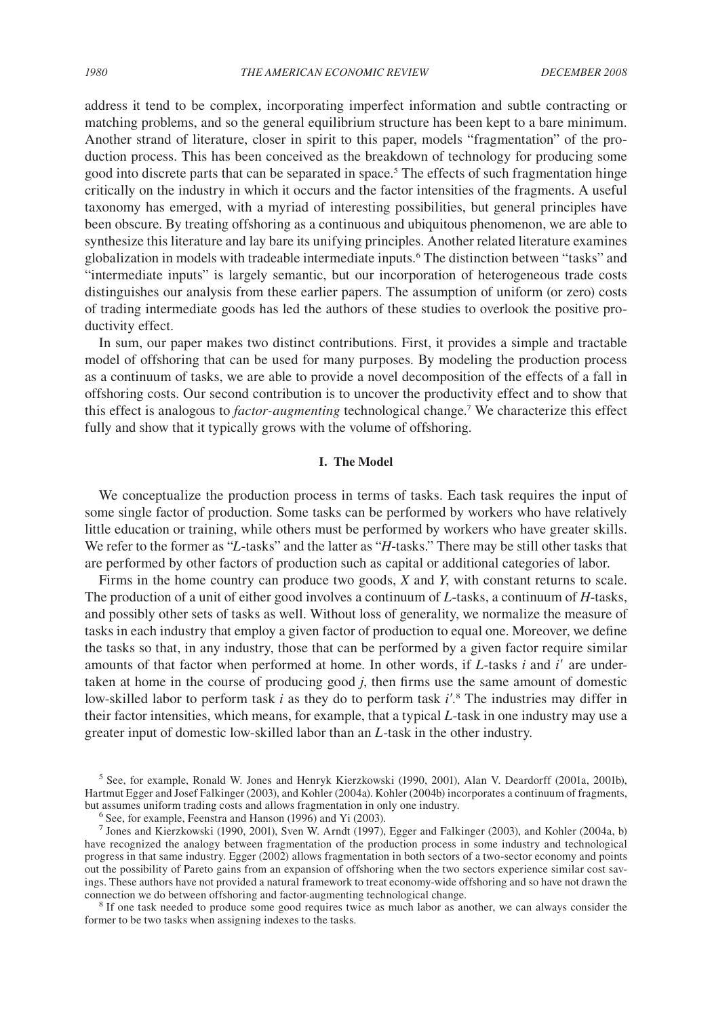address it tend to be complex, incorporating imperfect information and subtle contracting or matching problems, and so the general equilibrium structure has been kept to a bare minimum. Another strand of literature, closer in spirit to this paper, models "fragmentation" of the production process. This has been conceived as the breakdown of technology for producing some good into discrete parts that can be separated in space.<sup>5</sup> The effects of such fragmentation hinge critically on the industry in which it occurs and the factor intensities of the fragments. A useful taxonomy has emerged, with a myriad of interesting possibilities, but general principles have been obscure. By treating offshoring as a continuous and ubiquitous phenomenon, we are able to synthesize this literature and lay bare its unifying principles. Another related literature examines globalization in models with tradeable intermediate inputs.6 The distinction between "tasks" and "intermediate inputs" is largely semantic, but our incorporation of heterogeneous trade costs distinguishes our analysis from these earlier papers. The assumption of uniform (or zero) costs of trading intermediate goods has led the authors of these studies to overlook the positive productivity effect.

In sum, our paper makes two distinct contributions. First, it provides a simple and tractable model of offshoring that can be used for many purposes. By modeling the production process as a continuum of tasks, we are able to provide a novel decomposition of the effects of a fall in offshoring costs. Our second contribution is to uncover the productivity effect and to show that this effect is analogous to *factor-augmenting* technological change.7 We characterize this effect fully and show that it typically grows with the volume of offshoring.

## **I. The Model**

We conceptualize the production process in terms of tasks. Each task requires the input of some single factor of production. Some tasks can be performed by workers who have relatively little education or training, while others must be performed by workers who have greater skills. We refer to the former as "*L*-tasks" and the latter as "*H*-tasks." There may be still other tasks that are performed by other factors of production such as capital or additional categories of labor.

Firms in the home country can produce two goods, *X* and *Y*, with constant returns to scale. The production of a unit of either good involves a continuum of *L*-tasks, a continuum of *H*-tasks, and possibly other sets of tasks as well. Without loss of generality, we normalize the measure of tasks in each industry that employ a given factor of production to equal one. Moreover, we define the tasks so that, in any industry, those that can be performed by a given factor require similar amounts of that factor when performed at home. In other words, if *L*-tasks *i* and *i'* are undertaken at home in the course of producing good *j*, then firms use the same amount of domestic low-skilled labor to perform task  $i$  as they do to perform task  $i'^{8}$ . The industries may differ in their factor intensities, which means, for example, that a typical *L*-task in one industry may use a greater input of domestic low-skilled labor than an *L*-task in the other industry.

5 See, for example, Ronald W. Jones and Henryk Kierzkowski (1990, 2001), Alan V. Deardorff (2001a, 2001b), Hartmut Egger and Josef Falkinger (2003), and Kohler (2004a). Kohler (2004b) incorporates a continuum of fragments, but assumes uniform trading costs and allows fragmentation in only one industry.<br><sup>6</sup> See, for example, Feenstra and Hanson (1996) and Yi (2003).

7 Jones and Kierzkowski (1990, 2001), Sven W. Arndt (1997), Egger and Falkinger (2003), and Kohler (2004a, b) have recognized the analogy between fragmentation of the production process in some industry and technological progress in that same industry. Egger (2002) allows fragmentation in both sectors of a two-sector economy and points out the possibility of Pareto gains from an expansion of offshoring when the two sectors experience similar cost savings. These authors have not provided a natural framework to treat economy-wide offshoring and so have not drawn the connection we do between offshoring and factor-augmenting technological change.<br><sup>8</sup> If one task needed to produce some good requires twice as much labor as another, we can always consider the

former to be two tasks when assigning indexes to the tasks.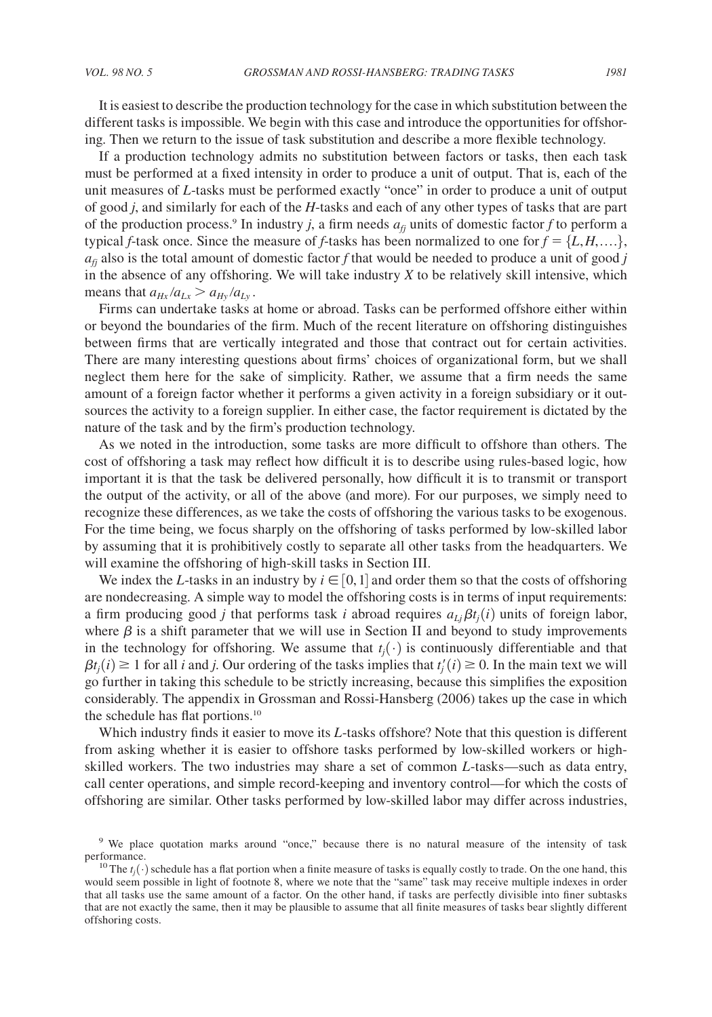It is easiest to describe the production technology for the case in which substitution between the different tasks is impossible. We begin with this case and introduce the opportunities for offshoring. Then we return to the issue of task substitution and describe a more flexible technology.

If a production technology admits no substitution between factors or tasks, then each task must be performed at a fixed intensity in order to produce a unit of output. That is, each of the unit measures of *L*-tasks must be performed exactly "once" in order to produce a unit of output of good *j*, and similarly for each of the *H*-tasks and each of any other types of tasks that are part of the production process.<sup>9</sup> In industry *j*, a firm needs  $a_{jj}$  units of domestic factor *f* to perform a typical *f*-task once. Since the measure of *f*-tasks has been normalized to one for  $f = \{L, H, \ldots\}$ ,  $a_{fi}$  also is the total amount of domestic factor *f* that would be needed to produce a unit of good *j* in the absence of any offshoring. We will take industry *X* to be relatively skill intensive, which means that  $a_{Hx}/a_{Lx} > a_{Hy}/a_{Ly}$ .

Firms can undertake tasks at home or abroad. Tasks can be performed offshore either within or beyond the boundaries of the firm. Much of the recent literature on offshoring distinguishes between firms that are vertically integrated and those that contract out for certain activities. There are many interesting questions about firms' choices of organizational form, but we shall neglect them here for the sake of simplicity. Rather, we assume that a firm needs the same amount of a foreign factor whether it performs a given activity in a foreign subsidiary or it outsources the activity to a foreign supplier. In either case, the factor requirement is dictated by the nature of the task and by the firm's production technology.

As we noted in the introduction, some tasks are more difficult to offshore than others. The cost of offshoring a task may reflect how difficult it is to describe using rules-based logic, how important it is that the task be delivered personally, how difficult it is to transmit or transport the output of the activity, or all of the above (and more). For our purposes, we simply need to recognize these differences, as we take the costs of offshoring the various tasks to be exogenous. For the time being, we focus sharply on the offshoring of tasks performed by low-skilled labor by assuming that it is prohibitively costly to separate all other tasks from the headquarters. We will examine the offshoring of high-skill tasks in Section III.

We index the *L*-tasks in an industry by  $i \in [0,1]$  and order them so that the costs of offshoring are nondecreasing. A simple way to model the offshoring costs is in terms of input requirements: a firm producing good *j* that performs task *i* abroad requires  $a_{Lj}\beta t_i(i)$  units of foreign labor, where  $\beta$  is a shift parameter that we will use in Section II and beyond to study improvements in the technology for offshoring. We assume that  $t_i(\cdot)$  is continuously differentiable and that  $\beta t_j(i) \geq 1$  for all *i* and *j*. Our ordering of the tasks implies that  $t'_j(i) \geq 0$ . In the main text we will go further in taking this schedule to be strictly increasing, because this simplifies the exposition considerably. The appendix in Grossman and Rossi-Hansberg (2006) takes up the case in which the schedule has flat portions.10

Which industry finds it easier to move its *L*-tasks offshore? Note that this question is different from asking whether it is easier to offshore tasks performed by low-skilled workers or highskilled workers. The two industries may share a set of common *L*-tasks—such as data entry, call center operations, and simple record-keeping and inventory control—for which the costs of offshoring are similar. Other tasks performed by low-skilled labor may differ across industries,

<sup>9</sup> We place quotation marks around "once," because there is no natural measure of the intensity of task performance.<br><sup>10</sup> The *t<sub>i</sub>*( $\cdot$ ) schedule has a flat portion when a finite measure of tasks is equally costly to trade. On the one hand, this

would seem possible in light of footnote 8, where we note that the "same" task may receive multiple indexes in order that all tasks use the same amount of a factor. On the other hand, if tasks are perfectly divisible into finer subtasks that are not exactly the same, then it may be plausible to assume that all finite measures of tasks bear slightly different offshoring costs.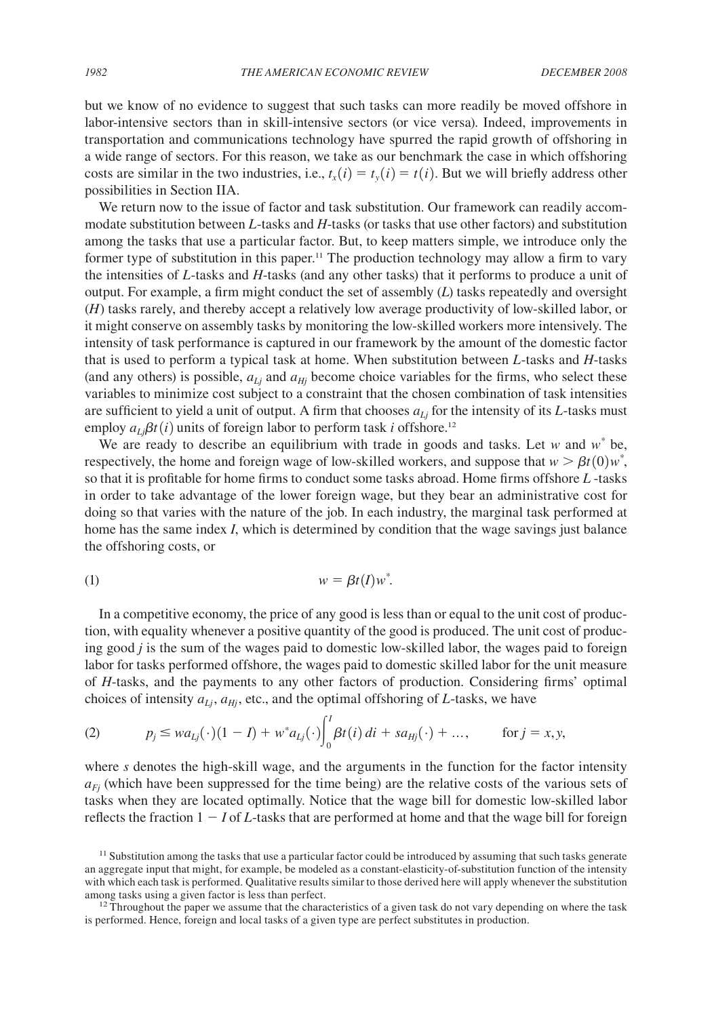but we know of no evidence to suggest that such tasks can more readily be moved offshore in labor-intensive sectors than in skill-intensive sectors (or vice versa). Indeed, improvements in transportation and communications technology have spurred the rapid growth of offshoring in a wide range of sectors. For this reason, we take as our benchmark the case in which offshoring costs are similar in the two industries, i.e.,  $t_x(i) = t_y(i) = t(i)$ . But we will briefly address other possibilities in Section IIA.

We return now to the issue of factor and task substitution. Our framework can readily accommodate substitution between *L*-tasks and *H*-tasks (or tasks that use other factors) and substitution among the tasks that use a particular factor. But, to keep matters simple, we introduce only the former type of substitution in this paper.<sup>11</sup> The production technology may allow a firm to vary the intensities of *L*-tasks and *H*-tasks (and any other tasks) that it performs to produce a unit of output. For example, a firm might conduct the set of assembly (*L*) tasks repeatedly and oversight (*H*) tasks rarely, and thereby accept a relatively low average productivity of low-skilled labor, or it might conserve on assembly tasks by monitoring the low-skilled workers more intensively. The intensity of task performance is captured in our framework by the amount of the domestic factor that is used to perform a typical task at home. When substitution between *L*-tasks and *H*-tasks (and any others) is possible,  $a_{Li}$  and  $a_{Hj}$  become choice variables for the firms, who select these variables to minimize cost subject to a constraint that the chosen combination of task intensities are sufficient to yield a unit of output. A firm that chooses *aLj* for the intensity of its *L*-tasks must employ  $a_{Li}\beta t(i)$  units of foreign labor to perform task *i* offshore.<sup>12</sup>

We are ready to describe an equilibrium with trade in goods and tasks. Let *w* and *w\** be, respectively, the home and foreign wage of low-skilled workers, and suppose that  $w > \beta t(0)w^*$ , so that it is profitable for home firms to conduct some tasks abroad. Home firms offshore *L* -tasks in order to take advantage of the lower foreign wage, but they bear an administrative cost for doing so that varies with the nature of the job. In each industry, the marginal task performed at home has the same index *I*, which is determined by condition that the wage savings just balance the offshoring costs, or

$$
(1) \t\t\t w = \beta t(I) w^*.
$$

In a competitive economy, the price of any good is less than or equal to the unit cost of production, with equality whenever a positive quantity of the good is produced. The unit cost of producing good *j* is the sum of the wages paid to domestic low-skilled labor, the wages paid to foreign labor for tasks performed offshore, the wages paid to domestic skilled labor for the unit measure of *H*-tasks, and the payments to any other factors of production. Considering firms' optimal choices of intensity  $a_{Li}$ ,  $a_{Hi}$ , etc., and the optimal offshoring of *L*-tasks, we have

(2) 
$$
p_j \leq wa_{Lj}(\cdot)(1-I) + w^* a_{Lj}(\cdot) \int_0^I \beta t(i) \, di + sa_{Hj}(\cdot) + \dots,
$$
 for  $j = x, y$ ,

where *s* denotes the high-skill wage, and the arguments in the function for the factor intensity  $a_{Fj}$  (which have been suppressed for the time being) are the relative costs of the various sets of tasks when they are located optimally. Notice that the wage bill for domestic low-skilled labor reflects the fraction  $1 - I$  of *L*-tasks that are performed at home and that the wage bill for foreign

<sup>&</sup>lt;sup>11</sup> Substitution among the tasks that use a particular factor could be introduced by assuming that such tasks generate an aggregate input that might, for example, be modeled as a constant-elasticity-of-substitution function of the intensity with which each task is performed. Qualitative results similar to those derived here will apply whenever the substitution among tasks using a given factor is less than perfect.

 $12$  Throughout the paper we assume that the characteristics of a given task do not vary depending on where the task is performed. Hence, foreign and local tasks of a given type are perfect substitutes in production.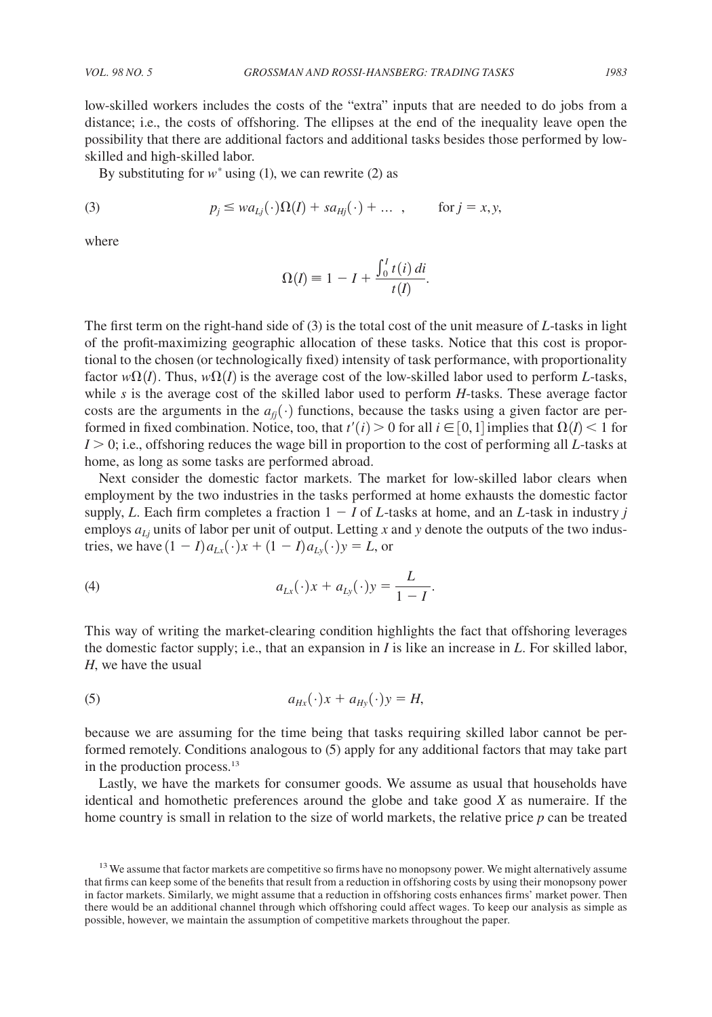low-skilled workers includes the costs of the "extra" inputs that are needed to do jobs from a distance; i.e., the costs of offshoring. The ellipses at the end of the inequality leave open the possibility that there are additional factors and additional tasks besides those performed by lowskilled and high-skilled labor.

By substituting for  $w^*$  using (1), we can rewrite (2) as

(3) 
$$
p_j \leq w a_{Lj}(\cdot) \Omega(l) + s a_{Hj}(\cdot) + \dots, \quad \text{for } j = x, y,
$$

where

$$
\Omega(I) \equiv 1 - I + \frac{\int_0^I t(i) \, di}{t(I)}.
$$

The first term on the right-hand side of (3) is the total cost of the unit measure of *L*-tasks in light of the profit-maximizing geographic allocation of these tasks. Notice that this cost is proportional to the chosen (or technologically fixed) intensity of task performance, with proportionality factor  $w\Omega(I)$ . Thus,  $w\Omega(I)$  is the average cost of the low-skilled labor used to perform *L*-tasks, while *s* is the average cost of the skilled labor used to perform *H*-tasks. These average factor costs are the arguments in the  $a_{\hat{p}}(\cdot)$  functions, because the tasks using a given factor are performed in fixed combination. Notice, too, that  $t'(i) > 0$  for all  $i \in [0,1]$  implies that  $\Omega(I) < 1$  for  $I > 0$ ; i.e., offshoring reduces the wage bill in proportion to the cost of performing all *L*-tasks at home, as long as some tasks are performed abroad.

Next consider the domestic factor markets. The market for low-skilled labor clears when employment by the two industries in the tasks performed at home exhausts the domestic factor supply, *L*. Each firm completes a fraction  $1 - I$  of *L*-tasks at home, and an *L*-task in industry *j* employs *aLj* units of labor per unit of output. Letting *x* and *y* denote the outputs of the two industries, we have  $(1 - I)a_{Lx}(\cdot)x + (1 - I)a_{Ly}(\cdot)y = L$ , or

(4) 
$$
a_{Lx}(\cdot)x + a_{Ly}(\cdot)y = \frac{L}{1 - I}.
$$

This way of writing the market-clearing condition highlights the fact that offshoring leverages the domestic factor supply; i.e., that an expansion in *I* is like an increase in *L*. For skilled labor, *H*, we have the usual

$$
a_{Hx}(\cdot)x + a_{Hy}(\cdot)y = H,
$$

because we are assuming for the time being that tasks requiring skilled labor cannot be performed remotely. Conditions analogous to (5) apply for any additional factors that may take part in the production process.<sup>13</sup>

Lastly, we have the markets for consumer goods. We assume as usual that households have identical and homothetic preferences around the globe and take good *X* as numeraire. If the home country is small in relation to the size of world markets, the relative price *p* can be treated

<sup>&</sup>lt;sup>13</sup> We assume that factor markets are competitive so firms have no monopsony power. We might alternatively assume that firms can keep some of the benefits that result from a reduction in offshoring costs by using their monopsony power in factor markets. Similarly, we might assume that a reduction in offshoring costs enhances firms' market power. Then there would be an additional channel through which offshoring could affect wages. To keep our analysis as simple as possible, however, we maintain the assumption of competitive markets throughout the paper.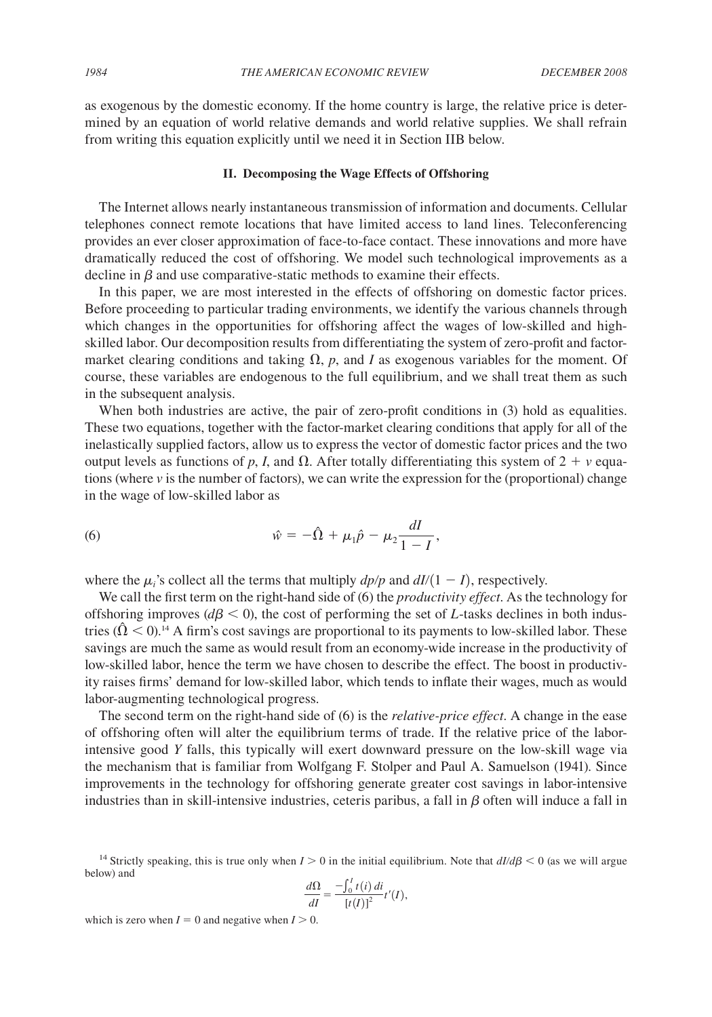as exogenous by the domestic economy. If the home country is large, the relative price is determined by an equation of world relative demands and world relative supplies. We shall refrain from writing this equation explicitly until we need it in Section IIB below.

### **II. Decomposing the Wage Effects of Offshoring**

The Internet allows nearly instantaneous transmission of information and documents. Cellular telephones connect remote locations that have limited access to land lines. Teleconferencing provides an ever closer approximation of face-to-face contact. These innovations and more have dramatically reduced the cost of offshoring. We model such technological improvements as a decline in  $\beta$  and use comparative-static methods to examine their effects.

In this paper, we are most interested in the effects of offshoring on domestic factor prices. Before proceeding to particular trading environments, we identify the various channels through which changes in the opportunities for offshoring affect the wages of low-skilled and highskilled labor. Our decomposition results from differentiating the system of zero-profit and factormarket clearing conditions and taking  $\Omega$ ,  $p$ , and *I* as exogenous variables for the moment. Of course, these variables are endogenous to the full equilibrium, and we shall treat them as such in the subsequent analysis.

When both industries are active, the pair of zero-profit conditions in (3) hold as equalities. These two equations, together with the factor-market clearing conditions that apply for all of the inelastically supplied factors, allow us to express the vector of domestic factor prices and the two output levels as functions of p, I, and  $\Omega$ . After totally differentiating this system of  $2 + v$  equations (where  $\nu$  is the number of factors), we can write the expression for the (proportional) change in the wage of low-skilled labor as

(6) 
$$
\hat{w} = -\hat{\Omega} + \mu_1 \hat{p} - \mu_2 \frac{dI}{1 - I},
$$

where the  $\mu_i$ 's collect all the terms that multiply  $dp/p$  and  $dI/(1 - I)$ , respectively.

We call the first term on the right-hand side of (6) the *productivity effect*. As the technology for offshoring improves  $(d\beta \le 0)$ , the cost of performing the set of *L*-tasks declines in both industries ( $\hat{\Omega}$  < 0).<sup>14</sup> A firm's cost savings are proportional to its payments to low-skilled labor. These savings are much the same as would result from an economy-wide increase in the productivity of low-skilled labor, hence the term we have chosen to describe the effect. The boost in productivity raises firms' demand for low-skilled labor, which tends to inflate their wages, much as would labor-augmenting technological progress.

The second term on the right-hand side of (6) is the *relative-price effect*. A change in the ease of offshoring often will alter the equilibrium terms of trade. If the relative price of the laborintensive good *Y* falls, this typically will exert downward pressure on the low-skill wage via the mechanism that is familiar from Wolfgang F. Stolper and Paul A. Samuelson (1941). Since improvements in the technology for offshoring generate greater cost savings in labor-intensive industries than in skill-intensive industries, ceteris paribus, a fall in  $\beta$  often will induce a fall in

$$
\frac{d\Omega}{dI} = \frac{-\int_0^t t(i) \, di}{[t(I)]^2} t'(I),
$$

which is zero when  $I = 0$  and negative when  $I > 0$ .

<sup>&</sup>lt;sup>14</sup> Strictly speaking, this is true only when  $I > 0$  in the initial equilibrium. Note that  $dI/d\beta < 0$  (as we will argue below) and *I*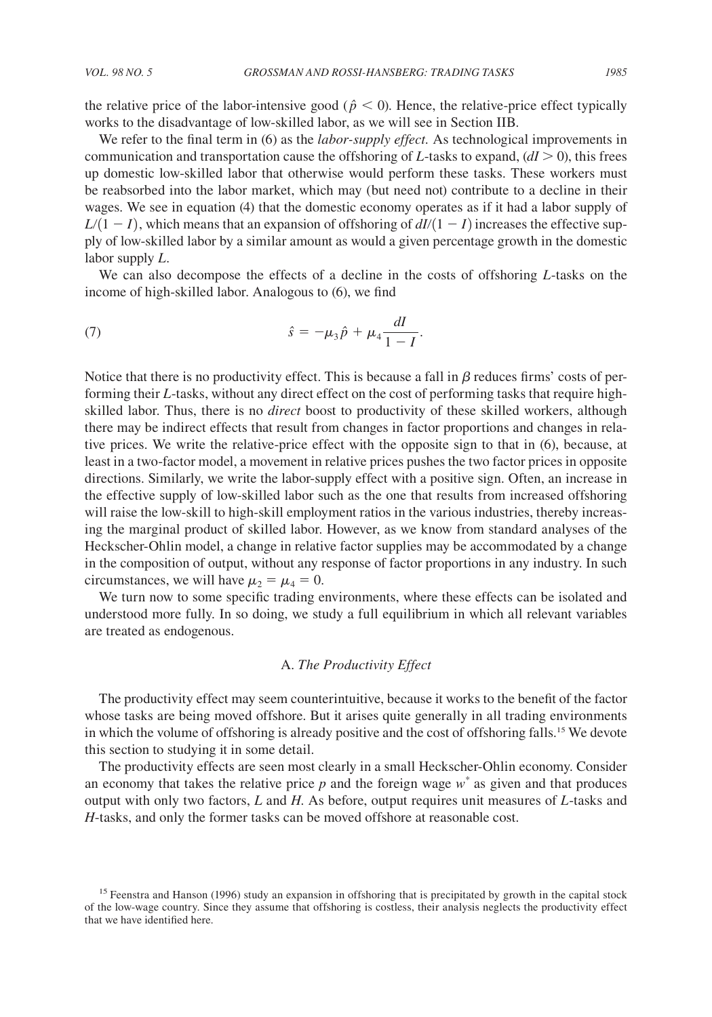the relative price of the labor-intensive good ( $\hat{p}$  < 0). Hence, the relative-price effect typically works to the disadvantage of low-skilled labor, as we will see in Section IIB.

We refer to the final term in (6) as the *labor-supply effect.* As technological improvements in communication and transportation cause the offshoring of *L*-tasks to expand,  $(dI > 0)$ , this frees up domestic low-skilled labor that otherwise would perform these tasks. These workers must be reabsorbed into the labor market, which may (but need not) contribute to a decline in their wages. We see in equation (4) that the domestic economy operates as if it had a labor supply of  $L/(1 - I)$ , which means that an expansion of offshoring of  $dI/(1 - I)$  increases the effective supply of low-skilled labor by a similar amount as would a given percentage growth in the domestic labor supply *L*.

We can also decompose the effects of a decline in the costs of offshoring *L*-tasks on the income of high-skilled labor. Analogous to (6), we find

(7) 
$$
\hat{s} = -\mu_3 \hat{p} + \mu_4 \frac{dI}{1 - I}.
$$

Notice that there is no productivity effect. This is because a fall in  $\beta$  reduces firms' costs of performing their *L*-tasks, without any direct effect on the cost of performing tasks that require highskilled labor. Thus, there is no *direct* boost to productivity of these skilled workers, although there may be indirect effects that result from changes in factor proportions and changes in relative prices. We write the relative-price effect with the opposite sign to that in (6), because, at least in a two-factor model, a movement in relative prices pushes the two factor prices in opposite directions. Similarly, we write the labor-supply effect with a positive sign. Often, an increase in the effective supply of low-skilled labor such as the one that results from increased offshoring will raise the low-skill to high-skill employment ratios in the various industries, thereby increasing the marginal product of skilled labor. However, as we know from standard analyses of the Heckscher-Ohlin model, a change in relative factor supplies may be accommodated by a change in the composition of output, without any response of factor proportions in any industry. In such circumstances, we will have  $\mu_2 = \mu_4 = 0$ .

We turn now to some specific trading environments, where these effects can be isolated and understood more fully. In so doing, we study a full equilibrium in which all relevant variables are treated as endogenous.

# A. *The Productivity Effect*

The productivity effect may seem counterintuitive, because it works to the benefit of the factor whose tasks are being moved offshore. But it arises quite generally in all trading environments in which the volume of offshoring is already positive and the cost of offshoring falls.<sup>15</sup> We devote this section to studying it in some detail.

The productivity effects are seen most clearly in a small Heckscher-Ohlin economy. Consider an economy that takes the relative price  $p$  and the foreign wage  $w^*$  as given and that produces output with only two factors, *L* and *H*. As before, output requires unit measures of *L*-tasks and *H*-tasks, and only the former tasks can be moved offshore at reasonable cost.

<sup>&</sup>lt;sup>15</sup> Feenstra and Hanson (1996) study an expansion in offshoring that is precipitated by growth in the capital stock of the low-wage country. Since they assume that offshoring is costless, their analysis neglects the productivity effect that we have identified here.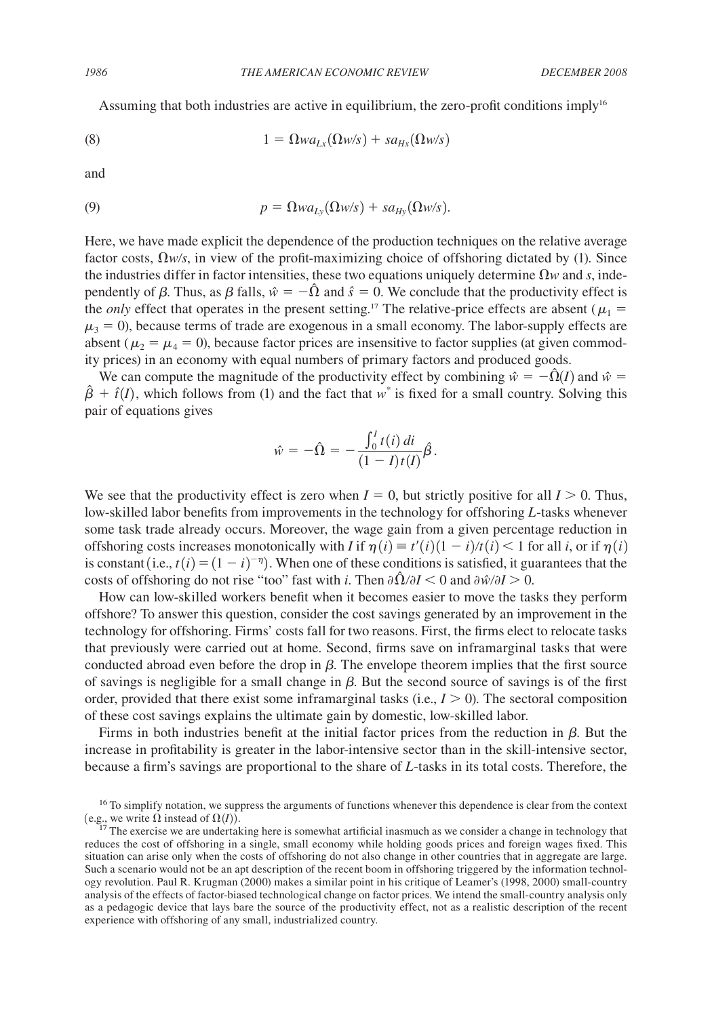Assuming that both industries are active in equilibrium, the zero-profit conditions imply<sup>16</sup>

(8) 
$$
1 = \Omega w a_{Lx}(\Omega w/s) + s a_{Hx}(\Omega w/s)
$$

and

(9) 
$$
p = \Omega w a_{Ly} (\Omega w/s) + s a_{Hy} (\Omega w/s).
$$

Here, we have made explicit the dependence of the production techniques on the relative average factor costs,  $\Omega$ *w/s*, in view of the profit-maximizing choice of offshoring dictated by (1). Since the industries differ in factor intensities, these two equations uniquely determine  $\Omega w$  and *s*, independently of  $\beta$ . Thus, as  $\beta$  falls,  $\hat{w} = -\hat{\Omega}$  and  $\hat{s} = 0$ . We conclude that the productivity effect is the *only* effect that operates in the present setting.<sup>17</sup> The relative-price effects are absent ( $\mu_1$  =  $\mu_3 = 0$ ), because terms of trade are exogenous in a small economy. The labor-supply effects are absent ( $\mu_2 = \mu_4 = 0$ ), because factor prices are insensitive to factor supplies (at given commodity prices) in an economy with equal numbers of primary factors and produced goods.

We can compute the magnitude of the productivity effect by combining  $\hat{w} = -\hat{\Omega}(I)$  and  $\hat{w} =$  $\hat{\beta} + \hat{t}(I)$ , which follows from (1) and the fact that  $w^*$  is fixed for a small country. Solving this pair of equations gives

$$
\hat{w} = -\hat{\Omega} = -\frac{\int_0^I t(i) \, di}{(1 - I)t(I)} \hat{\beta}.
$$

We see that the productivity effect is zero when  $I = 0$ , but strictly positive for all  $I > 0$ . Thus, low-skilled labor benefits from improvements in the technology for offshoring *L*-tasks whenever some task trade already occurs. Moreover, the wage gain from a given percentage reduction in offshoring costs increases monotonically with *I* if  $\eta(i) \equiv t'(i)(1-i)/t(i) < 1$  for all *i*, or if  $\eta(i)$ is constant (i.e.,  $t(i) = (1 - i)^{-\eta}$ ). When one of these conditions is satisfied, it guarantees that the costs of offshoring do not rise "too" fast with *i*. Then  $\partial \hat{\Omega}/\partial I < 0$  and  $\partial \hat{w}/\partial I > 0$ .

How can low-skilled workers benefit when it becomes easier to move the tasks they perform offshore? To answer this question, consider the cost savings generated by an improvement in the technology for offshoring. Firms' costs fall for two reasons. First, the firms elect to relocate tasks that previously were carried out at home. Second, firms save on inframarginal tasks that were conducted abroad even before the drop in  $\beta$ . The envelope theorem implies that the first source of savings is negligible for a small change in  $\beta$ . But the second source of savings is of the first order, provided that there exist some inframarginal tasks (i.e.,  $I > 0$ ). The sectoral composition of these cost savings explains the ultimate gain by domestic, low-skilled labor.

Firms in both industries benefit at the initial factor prices from the reduction in  $\beta$ . But the increase in profitability is greater in the labor-intensive sector than in the skill-intensive sector, because a firm's savings are proportional to the share of *L*-tasks in its total costs. Therefore, the

<sup>&</sup>lt;sup>16</sup> To simplify notation, we suppress the arguments of functions whenever this dependence is clear from the context (e.g., we write  $\Omega$  instead of  $\Omega(t)$ ).<br><sup>17</sup> The exercise we are undertaking here is somewhat artificial inasmuch as we consider a change in technology that

reduces the cost of offshoring in a single, small economy while holding goods prices and foreign wages fixed. This situation can arise only when the costs of offshoring do not also change in other countries that in aggregate are large. Such a scenario would not be an apt description of the recent boom in offshoring triggered by the information technology revolution. Paul R. Krugman (2000) makes a similar point in his critique of Leamer's (1998, 2000) small-country analysis of the effects of factor-biased technological change on factor prices. We intend the small-country analysis only as a pedagogic device that lays bare the source of the productivity effect, not as a realistic description of the recent experience with offshoring of any small, industrialized country.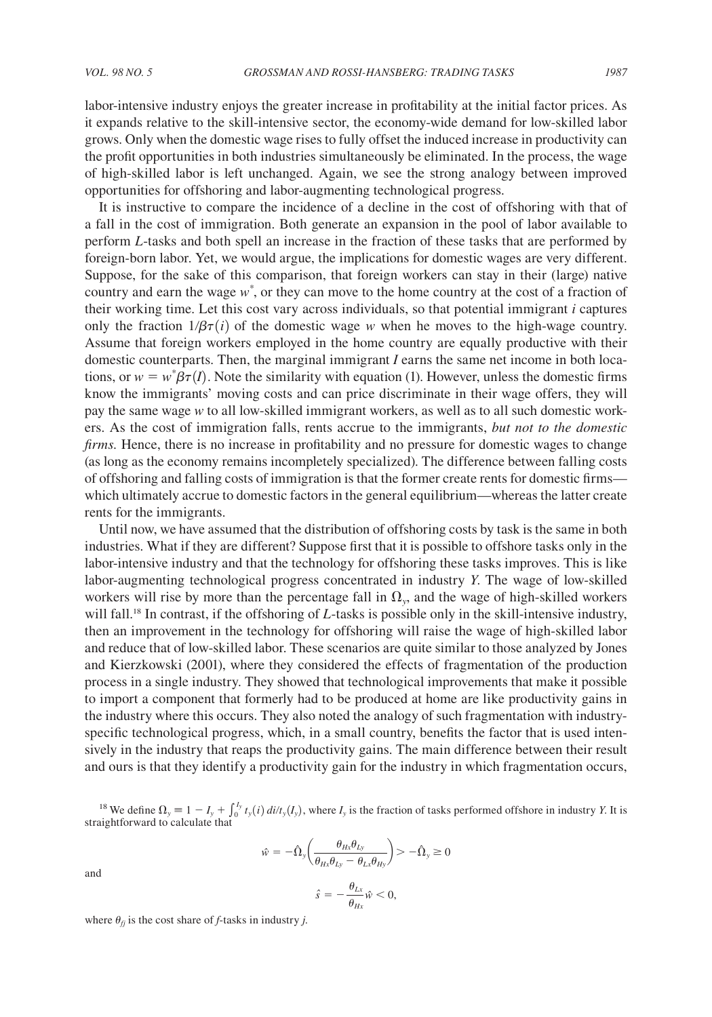labor-intensive industry enjoys the greater increase in profitability at the initial factor prices. As it expands relative to the skill-intensive sector, the economy-wide demand for low-skilled labor grows. Only when the domestic wage rises to fully offset the induced increase in productivity can the profit opportunities in both industries simultaneously be eliminated. In the process, the wage of high-skilled labor is left unchanged. Again, we see the strong analogy between improved opportunities for offshoring and labor-augmenting technological progress.

It is instructive to compare the incidence of a decline in the cost of offshoring with that of a fall in the cost of immigration. Both generate an expansion in the pool of labor available to perform *L*-tasks and both spell an increase in the fraction of these tasks that are performed by foreign-born labor. Yet, we would argue, the implications for domestic wages are very different. Suppose, for the sake of this comparison, that foreign workers can stay in their (large) native country and earn the wage *w\** , or they can move to the home country at the cost of a fraction of their working time. Let this cost vary across individuals, so that potential immigrant *i* captures only the fraction  $1/\beta\tau(i)$  of the domestic wage *w* when he moves to the high-wage country. Assume that foreign workers employed in the home country are equally productive with their domestic counterparts. Then, the marginal immigrant *I* earns the same net income in both locations, or  $w = w^* \beta \tau(I)$ . Note the similarity with equation (1). However, unless the domestic firms know the immigrants' moving costs and can price discriminate in their wage offers, they will pay the same wage *w* to all low-skilled immigrant workers, as well as to all such domestic workers. As the cost of immigration falls, rents accrue to the immigrants, *but not to the domestic firms*. Hence, there is no increase in profitability and no pressure for domestic wages to change (as long as the economy remains incompletely specialized). The difference between falling costs of offshoring and falling costs of immigration is that the former create rents for domestic firms which ultimately accrue to domestic factors in the general equilibrium—whereas the latter create rents for the immigrants.

Until now, we have assumed that the distribution of offshoring costs by task is the same in both industries. What if they are different? Suppose first that it is possible to offshore tasks only in the labor-intensive industry and that the technology for offshoring these tasks improves. This is like labor-augmenting technological progress concentrated in industry *Y*. The wage of low-skilled workers will rise by more than the percentage fall in  $\Omega<sub>y</sub>$ , and the wage of high-skilled workers will fall.<sup>18</sup> In contrast, if the offshoring of *L*-tasks is possible only in the skill-intensive industry, then an improvement in the technology for offshoring will raise the wage of high-skilled labor and reduce that of low-skilled labor. These scenarios are quite similar to those analyzed by Jones and Kierzkowski (2001), where they considered the effects of fragmentation of the production process in a single industry. They showed that technological improvements that make it possible to import a component that formerly had to be produced at home are like productivity gains in the industry where this occurs. They also noted the analogy of such fragmentation with industryspecific technological progress, which, in a small country, benefits the factor that is used intensively in the industry that reaps the productivity gains. The main difference between their result and ours is that they identify a productivity gain for the industry in which fragmentation occurs,

<sup>18</sup> We define  $\Omega_y = 1 - I_y + \int_0^{I_y} t_y(i) \, di/t_y(l_y)$ , where  $I_y$  is the fraction of tasks performed offshore in industry *Y*. It is straightforward to calculate that

$$
\hat{w} = -\hat{\Omega}_y \left( \frac{\theta_{Hx} \theta_{Ly}}{\theta_{Hx} \theta_{Ly} - \theta_{Lx} \theta_{Hy}} \right) > -\hat{\Omega}_y \ge 0
$$

and

$$
\hat{s} = -\frac{\theta_{Lx}}{\theta_{Hx}}\hat{w} < 0,
$$

where  $\theta_{fj}$  is the cost share of *f*-tasks in industry *j*.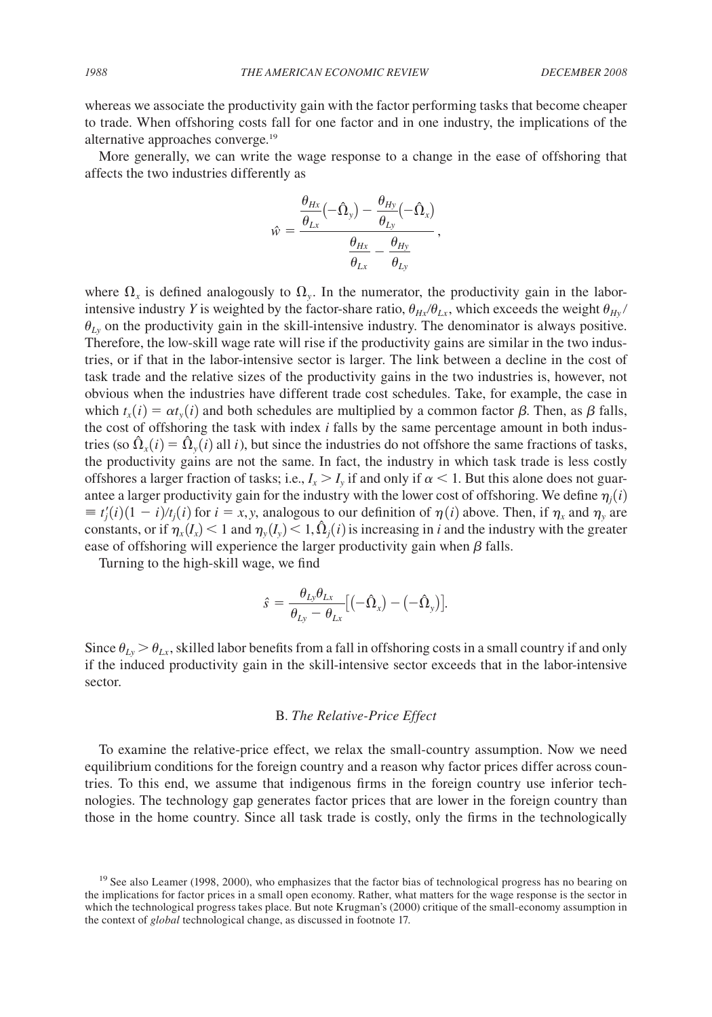whereas we associate the productivity gain with the factor performing tasks that become cheaper to trade. When offshoring costs fall for one factor and in one industry, the implications of the alternative approaches converge.19

More generally, we can write the wage response to a change in the ease of offshoring that affects the two industries differently as

$$
\hat{w} = \frac{\frac{\theta_{Hx}}{\theta_{Lx}}(-\hat{\Omega}_y) - \frac{\theta_{Hy}}{\theta_{Ly}}(-\hat{\Omega}_x)}{\frac{\theta_{Hx}}{\theta_{Lx}} - \frac{\theta_{Hy}}{\theta_{Ly}}},
$$

where  $\Omega_x$  is defined analogously to  $\Omega_y$ . In the numerator, the productivity gain in the laborintensive industry *Y* is weighted by the factor-share ratio,  $\theta_{Hx}/\theta_{Lx}$ , which exceeds the weight  $\theta_{Hy}/\theta_{Lx}$  $\theta_{Ly}$  on the productivity gain in the skill-intensive industry. The denominator is always positive. Therefore, the low-skill wage rate will rise if the productivity gains are similar in the two industries, or if that in the labor-intensive sector is larger. The link between a decline in the cost of task trade and the relative sizes of the productivity gains in the two industries is, however, not obvious when the industries have different trade cost schedules. Take, for example, the case in which  $t_x(i) = \alpha t_y(i)$  and both schedules are multiplied by a common factor  $\beta$ . Then, as  $\beta$  falls, the cost of offshoring the task with index *i* falls by the same percentage amount in both industries (so  $\hat{\Omega}_x(i) = \hat{\Omega}_y(i)$  all *i*), but since the industries do not offshore the same fractions of tasks, the productivity gains are not the same. In fact, the industry in which task trade is less costly offshores a larger fraction of tasks; i.e.,  $I_x > I_y$  if and only if  $\alpha < 1$ . But this alone does not guarantee a larger productivity gain for the industry with the lower cost of offshoring. We define  $\eta_i(i)$  $\equiv t'_i(i)(1-i)/t_i(i)$  for  $i = x, y$ , analogous to our definition of  $\eta(i)$  above. Then, if  $\eta_x$  and  $\eta_y$  are constants, or if  $\eta_x(I_x) < 1$  and  $\eta_y(I_y) < 1$ ,  $\Omega_i(i)$  is increasing in *i* and the industry with the greater ease of offshoring will experience the larger productivity gain when  $\beta$  falls.

Turning to the high-skill wage, we find

$$
\hat{s} = \frac{\theta_{Ly}\theta_{Lx}}{\theta_{Ly} - \theta_{Lx}} [(-\hat{\Omega}_x) - (-\hat{\Omega}_y)].
$$

Since  $\theta_{Ly} > \theta_{Lx}$ , skilled labor benefits from a fall in offshoring costs in a small country if and only if the induced productivity gain in the skill-intensive sector exceeds that in the labor-intensive sector.

## B. *The Relative-Price Effect*

To examine the relative-price effect, we relax the small-country assumption. Now we need equilibrium conditions for the foreign country and a reason why factor prices differ across countries. To this end, we assume that indigenous firms in the foreign country use inferior technologies. The technology gap generates factor prices that are lower in the foreign country than those in the home country. Since all task trade is costly, only the firms in the technologically

<sup>&</sup>lt;sup>19</sup> See also Leamer (1998, 2000), who emphasizes that the factor bias of technological progress has no bearing on the implications for factor prices in a small open economy. Rather, what matters for the wage response is the sector in which the technological progress takes place. But note Krugman's (2000) critique of the small-economy assumption in the context of *global* technological change, as discussed in footnote 17.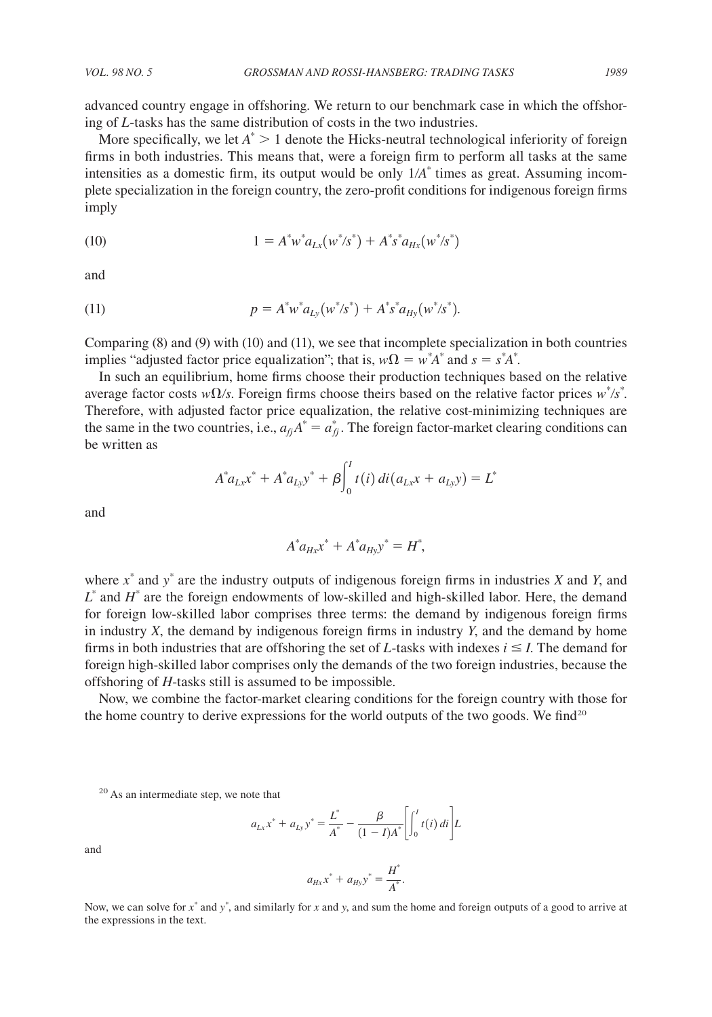advanced country engage in offshoring. We return to our benchmark case in which the offshoring of *L*-tasks has the same distribution of costs in the two industries.

More specifically, we let  $A^*$  > 1 denote the Hicks-neutral technological inferiority of foreign firms in both industries. This means that, were a foreign firm to perform all tasks at the same intensities as a domestic firm, its output would be only 1/*A\** times as great. Assuming incomplete specialization in the foreign country, the zero-profit conditions for indigenous foreign firms imply

(10) 
$$
1 = A^* w^* a_{Lx} (w^* / s^*) + A^* s^* a_{Hx} (w^* / s^*)
$$

and

(11) 
$$
p = A^* w^* a_{Ly} (w^* / s^*) + A^* s^* a_{Hy} (w^* / s^*).
$$

Comparing (8) and (9) with (10) and (11), we see that incomplete specialization in both countries implies "adjusted factor price equalization"; that is,  $w\Omega = w^*A^*$  and  $s = s^*A^*$ .

In such an equilibrium, home firms choose their production techniques based on the relative average factor costs  $w\Omega/s$ . Foreign firms choose theirs based on the relative factor prices  $w^*/s^*$ . Therefore, with adjusted factor price equalization, the relative cost-minimizing techniques are the same in the two countries, i.e.,  $a_{\hat{B}}A^* = a_{\hat{B}}^*$ . The foreign factor-market clearing conditions can be written as

$$
A^* a_{Lx} x^* + A^* a_{Ly} y^* + \beta \int_0^l t(i) \, di \left( a_{Lx} x + a_{Ly} y \right) = L^*
$$

and

$$
A^* a_{Hx} x^* + A^* a_{Hy} y^* = H^*,
$$

where *x\** and *y\** are the industry outputs of indigenous foreign firms in industries *X* and *Y*, and  $L^*$  and  $H^*$  are the foreign endowments of low-skilled and high-skilled labor. Here, the demand for foreign low-skilled labor comprises three terms: the demand by indigenous foreign firms in industry *X*, the demand by indigenous foreign firms in industry *Y*, and the demand by home firms in both industries that are offshoring the set of *L*-tasks with indexes  $i \leq I$ . The demand for foreign high-skilled labor comprises only the demands of the two foreign industries, because the offshoring of *H*-tasks still is assumed to be impossible.

Now, we combine the factor-market clearing conditions for the foreign country with those for the home country to derive expressions for the world outputs of the two goods. We find $2^{\circ}$ 

20 As an intermediate step, we note that

$$
a_{Lx}x^* + a_{Ly}y^* = \frac{L^*}{A^*} - \frac{\beta}{(1 - I)A^*} \left[ \int_0^l t(i) \, di \right] L
$$

and

$$
a_{Hx}x^* + a_{Hy}y^* = \frac{H^*}{A^*}.
$$

Now, we can solve for  $x^*$  and  $y^*$ , and similarly for x and y, and sum the home and foreign outputs of a good to arrive at the expressions in the text.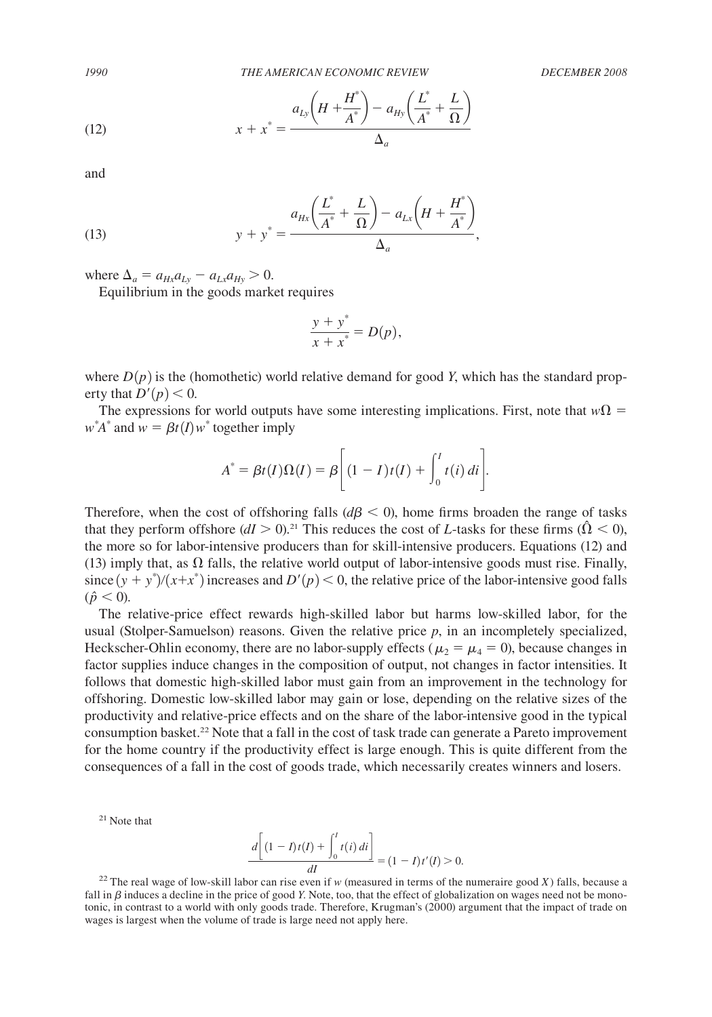*1990 THE AMERICAN ECONOMIC REVIEW december 2008*

(12) 
$$
x + x^* = \frac{a_{Ly}\left(H + \frac{H^*}{A^*}\right) - a_{Hy}\left(\frac{L^*}{A^*} + \frac{L}{\Omega}\right)}{\Delta_a}
$$

and

(13) 
$$
y + y^* = \frac{a_{Hx} \left( \frac{L^*}{A^*} + \frac{L}{\Omega} \right) - a_{Lx} \left( H + \frac{H^*}{A^*} \right)}{\Delta_a},
$$

where  $\Delta_a = a_{Hx} a_{Ly} - a_{Lx} a_{Hy} > 0$ .

Equilibrium in the goods market requires

$$
\frac{y+y^*}{x+x^*}=D(p),
$$

where  $D(p)$  is the (homothetic) world relative demand for good *Y*, which has the standard property that  $D'(p) < 0$ .

The expressions for world outputs have some interesting implications. First, note that  $w\Omega =$  $w^*A^*$  and  $w = \beta t(I)w^*$  together imply

$$
A^* = \beta t(I)\Omega(I) = \beta \bigg[ (1 - I)t(I) + \int_0^I t(i) \, di \bigg].
$$

Therefore, when the cost of offshoring falls  $(d\beta \le 0)$ , home firms broaden the range of tasks that they perform offshore  $(dI > 0)$ .<sup>21</sup> This reduces the cost of *L*-tasks for these firms  $(\hat{\Omega} < 0)$ , the more so for labor-intensive producers than for skill-intensive producers. Equations (12) and (13) imply that, as  $\Omega$  falls, the relative world output of labor-intensive goods must rise. Finally, since  $(y + y^*)/(x + x^*)$  increases and  $D'(p) < 0$ , the relative price of the labor-intensive good falls  $(p<sub>0</sub>)$ .

The relative-price effect rewards high-skilled labor but harms low-skilled labor, for the usual (Stolper-Samuelson) reasons. Given the relative price  $p$ , in an incompletely specialized, Heckscher-Ohlin economy, there are no labor-supply effects ( $\mu_2 = \mu_4 = 0$ ), because changes in factor supplies induce changes in the composition of output, not changes in factor intensities. It follows that domestic high-skilled labor must gain from an improvement in the technology for offshoring. Domestic low-skilled labor may gain or lose, depending on the relative sizes of the productivity and relative-price effects and on the share of the labor-intensive good in the typical consumption basket.<sup>22</sup> Note that a fall in the cost of task trade can generate a Pareto improvement for the home country if the productivity effect is large enough. This is quite different from the consequences of a fall in the cost of goods trade, which necessarily creates winners and losers.

21 Note that

$$
\frac{d\left[ (1 - I)t(I) + \int_0^t t(i) \, di \right]}{dI} = (1 - I)t'(I) > 0.
$$

<sup>&</sup>lt;sup>22</sup> The real wage of low-skill labor can rise even if *w* (measured in terms of the numeraire good *X*) falls, because a fall in  $\beta$  induces a decline in the price of good *Y*. Note, too, that the effect of globalization on wages need not be monotonic, in contrast to a world with only goods trade. Therefore, Krugman's (2000) argument that the impact of trade on wages is largest when the volume of trade is large need not apply here.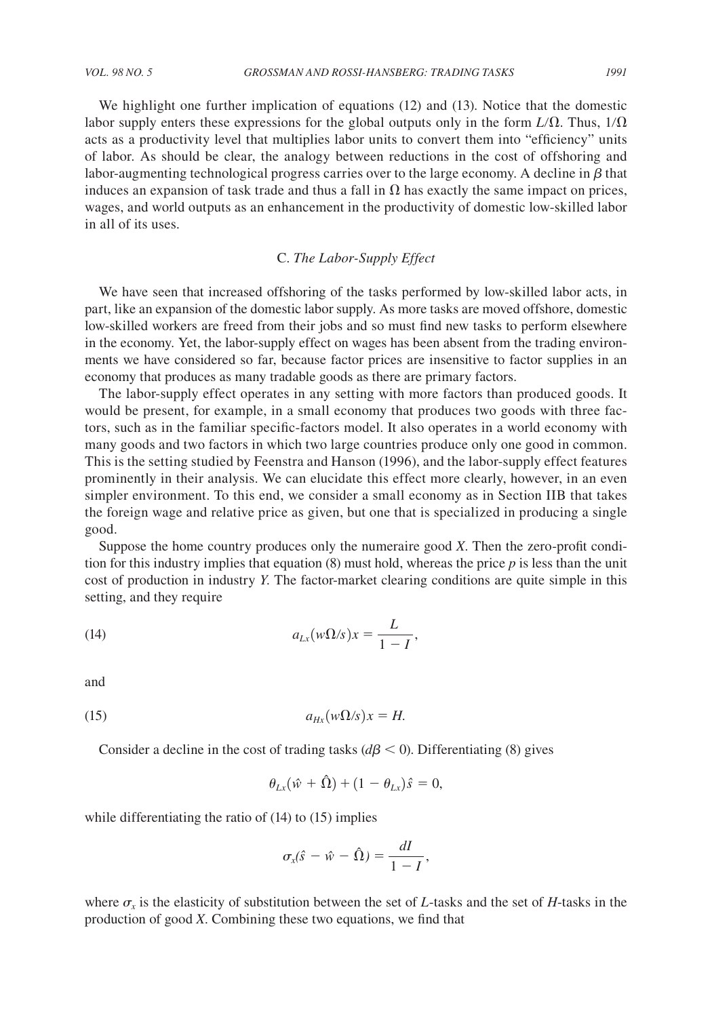We highlight one further implication of equations (12) and (13). Notice that the domestic labor supply enters these expressions for the global outputs only in the form  $L/\Omega$ . Thus,  $1/\Omega$ acts as a productivity level that multiplies labor units to convert them into "efficiency" units of labor. As should be clear, the analogy between reductions in the cost of offshoring and labor-augmenting technological progress carries over to the large economy. A decline in  $\beta$  that induces an expansion of task trade and thus a fall in  $\Omega$  has exactly the same impact on prices, wages, and world outputs as an enhancement in the productivity of domestic low-skilled labor in all of its uses.

# C. *The Labor-Supply Effect*

We have seen that increased offshoring of the tasks performed by low-skilled labor acts, in part, like an expansion of the domestic labor supply. As more tasks are moved offshore, domestic low-skilled workers are freed from their jobs and so must find new tasks to perform elsewhere in the economy. Yet, the labor-supply effect on wages has been absent from the trading environments we have considered so far, because factor prices are insensitive to factor supplies in an economy that produces as many tradable goods as there are primary factors.

The labor-supply effect operates in any setting with more factors than produced goods. It would be present, for example, in a small economy that produces two goods with three factors, such as in the familiar specific-factors model. It also operates in a world economy with many goods and two factors in which two large countries produce only one good in common. This is the setting studied by Feenstra and Hanson (1996), and the labor-supply effect features prominently in their analysis. We can elucidate this effect more clearly, however, in an even simpler environment. To this end, we consider a small economy as in Section IIB that takes the foreign wage and relative price as given, but one that is specialized in producing a single good.

Suppose the home country produces only the numeraire good *X*. Then the zero-profit condition for this industry implies that equation (8) must hold, whereas the price *p* is less than the unit cost of production in industry *Y*. The factor-market clearing conditions are quite simple in this setting, and they require

(14) 
$$
a_{Lx}(w\Omega/s)x = \frac{L}{1 - L},
$$

and

$$
(15) \t\t a_{Hx}(w\Omega/s)x = H.
$$

Consider a decline in the cost of trading tasks  $(d\beta \le 0)$ . Differentiating (8) gives

$$
\theta_{Lx}(\hat{w} + \hat{\Omega}) + (1 - \theta_{Lx})\hat{s} = 0,
$$

while differentiating the ratio of  $(14)$  to  $(15)$  implies

$$
\sigma_x(\hat{s} - \hat{w} - \hat{\Omega}) = \frac{dI}{1 - I},
$$

where  $\sigma_x$  is the elasticity of substitution between the set of *L*-tasks and the set of *H*-tasks in the production of good *X*. Combining these two equations, we find that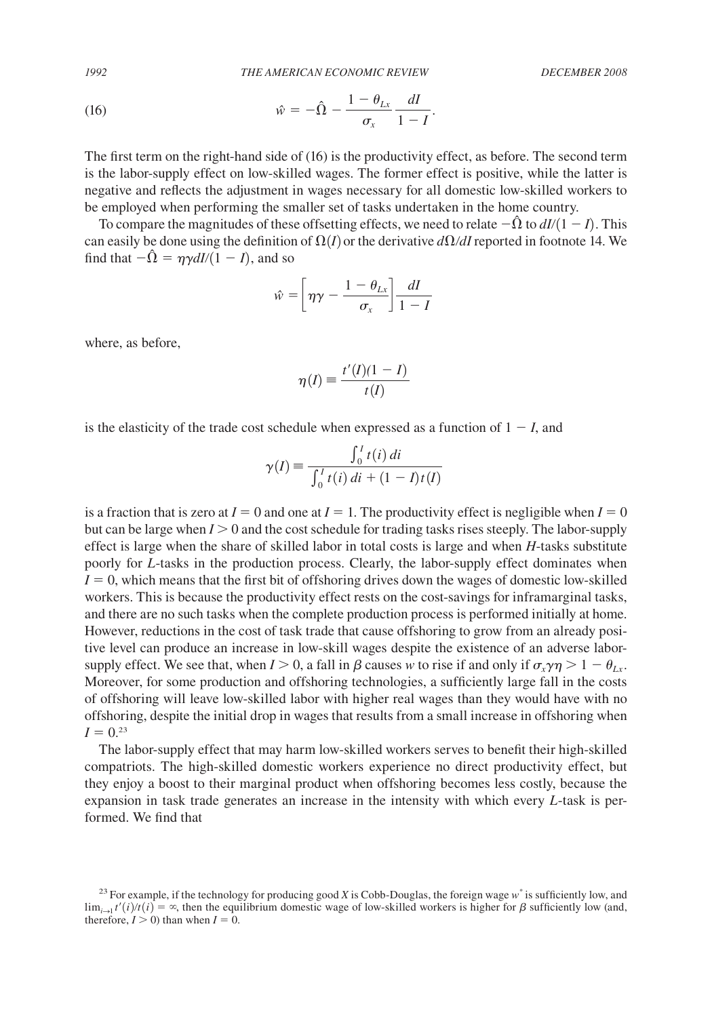*1992 THE AMERICAN ECONOMIC REVIEW december 2008*

(16) 
$$
\hat{w} = -\hat{\Omega} - \frac{1 - \theta_{Lx}}{\sigma_x} \frac{dI}{1 - I}.
$$

The first term on the right-hand side of (16) is the productivity effect, as before. The second term is the labor-supply effect on low-skilled wages. The former effect is positive, while the latter is negative and reflects the adjustment in wages necessary for all domestic low-skilled workers to be employed when performing the smaller set of tasks undertaken in the home country.

To compare the magnitudes of these offsetting effects, we need to relate  $-\hat{\Omega}$  to  $dI/(1 - I)$ . This can easily be done using the definition of  $\Omega(I)$  or the derivative  $d\Omega/dI$  reported in footnote 14. We find that  $-\hat{\Omega} = \eta \gamma dI/(1 - I)$ , and so

$$
\hat{w} = \left[\eta \gamma - \frac{1 - \theta_{Lx}}{\sigma_x}\right] \frac{dI}{1 - I}
$$

where, as before,

$$
\eta(I) \equiv \frac{t'(I)(1-I)}{t(I)}
$$

is the elasticity of the trade cost schedule when expressed as a function of  $1 - I$ , and

$$
\gamma(I) \equiv \frac{\int_0^I t(i) \, di}{\int_0^I t(i) \, di + (1 - I)t(I)}
$$

is a fraction that is zero at  $I = 0$  and one at  $I = 1$ . The productivity effect is negligible when  $I = 0$ but can be large when  $I > 0$  and the cost schedule for trading tasks rises steeply. The labor-supply effect is large when the share of skilled labor in total costs is large and when *H*-tasks substitute poorly for *L*-tasks in the production process. Clearly, the labor-supply effect dominates when  $I = 0$ , which means that the first bit of offshoring drives down the wages of domestic low-skilled workers. This is because the productivity effect rests on the cost-savings for inframarginal tasks, and there are no such tasks when the complete production process is performed initially at home. However, reductions in the cost of task trade that cause offshoring to grow from an already positive level can produce an increase in low-skill wages despite the existence of an adverse laborsupply effect. We see that, when  $I > 0$ , a fall in  $\beta$  causes w to rise if and only if  $\sigma_x \gamma \eta > 1 - \theta_{I_x}$ . Moreover, for some production and offshoring technologies, a sufficiently large fall in the costs of offshoring will leave low-skilled labor with higher real wages than they would have with no offshoring, despite the initial drop in wages that results from a small increase in offshoring when  $I = 0.^{23}$ 

The labor-supply effect that may harm low-skilled workers serves to benefit their high-skilled compatriots. The high-skilled domestic workers experience no direct productivity effect, but they enjoy a boost to their marginal product when offshoring becomes less costly, because the expansion in task trade generates an increase in the intensity with which every *L*-task is performed. We find that

<sup>23</sup> For example, if the technology for producing good *X* is Cobb-Douglas, the foreign wage *w\** is sufficiently low, and  $\lim_{i\to 1} t'(i)/t(i) = \infty$ , then the equilibrium domestic wage of low-skilled workers is higher for  $\beta$  sufficiently low (and, therefore,  $I > 0$ ) than when  $I = 0$ .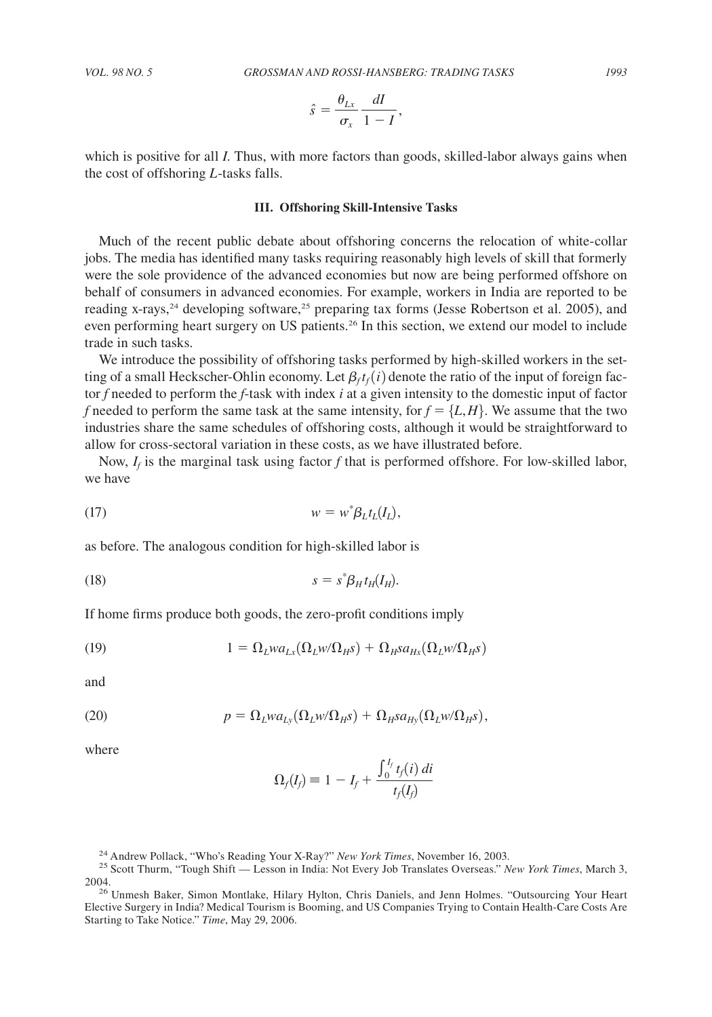$$
1993\\
$$

$$
\hat{s} = \frac{\theta_{Lx}}{\sigma_x} \frac{dI}{1 - I},
$$

which is positive for all *I*. Thus, with more factors than goods, skilled-labor always gains when the cost of offshoring *L*-tasks falls.

#### **III. Offshoring Skill-Intensive Tasks**

Much of the recent public debate about offshoring concerns the relocation of white-collar jobs. The media has identified many tasks requiring reasonably high levels of skill that formerly were the sole providence of the advanced economies but now are being performed offshore on behalf of consumers in advanced economies. For example, workers in India are reported to be reading x-rays,<sup>24</sup> developing software,<sup>25</sup> preparing tax forms (Jesse Robertson et al. 2005), and even performing heart surgery on US patients.26 In this section, we extend our model to include trade in such tasks.

We introduce the possibility of offshoring tasks performed by high-skilled workers in the setting of a small Heckscher-Ohlin economy. Let  $\beta_f t_f(i)$  denote the ratio of the input of foreign factor *f* needed to perform the *f*-task with index *i* at a given intensity to the domestic input of factor *f* needed to perform the same task at the same intensity, for  $f = \{L, H\}$ . We assume that the two industries share the same schedules of offshoring costs, although it would be straightforward to allow for cross-sectoral variation in these costs, as we have illustrated before.

Now,  $I_f$  is the marginal task using factor  $f$  that is performed offshore. For low-skilled labor, we have

$$
(17) \t\t\t w = w^* \beta_L t_L(I_L),
$$

as before. The analogous condition for high-skilled labor is

$$
(18) \t\t\t s = s^*\beta_H t_H(I_H).
$$

If home firms produce both goods, the zero-profit conditions imply

(19) 
$$
1 = \Omega_L w a_{Lx} (\Omega_L w / \Omega_H s) + \Omega_H s a_{Hx} (\Omega_L w / \Omega_H s)
$$

and

(20) 
$$
p = \Omega_L w a_{Ly} (\Omega_L w / \Omega_H s) + \Omega_H s a_{Hy} (\Omega_L w / \Omega_H s),
$$

where

$$
\Omega_f(I_f) \equiv 1 - I_f + \frac{\int_0^{I_f} t_f(i) \, di}{t_f(I_f)}
$$

24 Andrew Pollack, "Who's Reading Your X-Ray?" *New York Times*, November 16, 2003. 25 Scott Thurm, "Tough Shift — Lesson in India: Not Every Job Translates Overseas." *New York Times*, March 3, 2004. 26 Unmesh Baker, Simon Montlake, Hilary Hylton, Chris Daniels, and Jenn Holmes. "Outsourcing Your Heart

Elective Surgery in India? Medical Tourism is Booming, and US Companies Trying to Contain Health-Care Costs Are Starting to Take Notice." *Time*, May 29, 2006.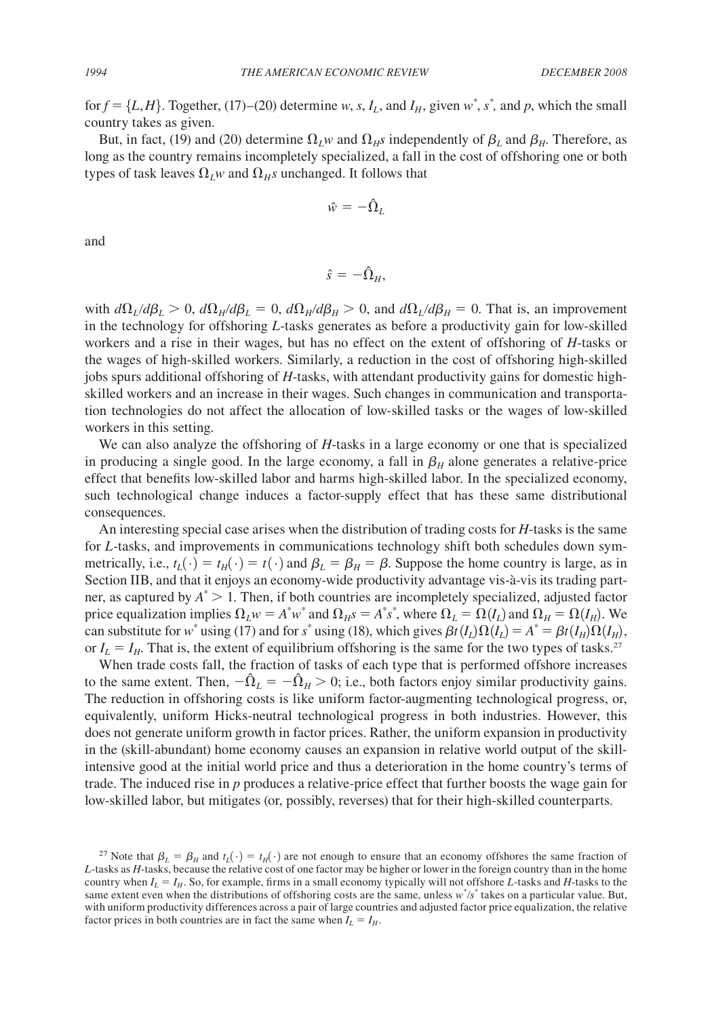for  $f = \{L, H\}$ . Together, (17)–(20) determine *w*, *s*,  $I_L$ , and  $I_H$ , given  $w^*$ ,  $s^*$ , and  $p$ , which the small country takes as given.

But, in fact, (19) and (20) determine  $\Omega_L w$  and  $\Omega_H s$  independently of  $\beta_L$  and  $\beta_H$ . Therefore, as long as the country remains incompletely specialized, a fall in the cost of offshoring one or both types of task leaves  $\Omega_L w$  and  $\Omega_H s$  unchanged. It follows that

$$
\hat{w} = - \hat{\Omega}_L
$$

and

$$
\hat{s} = - \hat{\Omega}_H,
$$

with  $d\Omega_L/d\beta_L > 0$ ,  $d\Omega_H/d\beta_L = 0$ ,  $d\Omega_H/d\beta_H > 0$ , and  $d\Omega_L/d\beta_H = 0$ . That is, an improvement in the technology for offshoring *L*-tasks generates as before a productivity gain for low-skilled workers and a rise in their wages, but has no effect on the extent of offshoring of *H*-tasks or the wages of high-skilled workers. Similarly, a reduction in the cost of offshoring high-skilled jobs spurs additional offshoring of *H*-tasks, with attendant productivity gains for domestic highskilled workers and an increase in their wages. Such changes in communication and transportation technologies do not affect the allocation of low-skilled tasks or the wages of low-skilled workers in this setting.

We can also analyze the offshoring of *H*-tasks in a large economy or one that is specialized in producing a single good. In the large economy, a fall in  $\beta_H$  alone generates a relative-price effect that benefits low-skilled labor and harms high-skilled labor. In the specialized economy, such technological change induces a factor-supply effect that has these same distributional consequences.

An interesting special case arises when the distribution of trading costs for *H*-tasks is the same for *L*-tasks, and improvements in communications technology shift both schedules down symmetrically, i.e.,  $t_L(\cdot) = t_H(\cdot) = t(\cdot)$  and  $\beta_L = \beta_H = \beta$ . Suppose the home country is large, as in Section IIB, and that it enjoys an economy-wide productivity advantage vis-à-vis its trading partner, as captured by  $A^* > 1$ . Then, if both countries are incompletely specialized, adjusted factor price equalization implies  $\Omega_L w = A^* w^*$  and  $\Omega_H s = A^* s^*$ , where  $\Omega_L = \Omega(I_L)$  and  $\Omega_H = \Omega(I_H)$ . We can substitute for *w*<sup>\*</sup> using (17) and for *s*<sup>\*</sup> using (18), which gives  $\beta t(I_L)\Omega(I_L) = A^* = \beta t(I_H)\Omega(I_H)$ , or  $I_L = I_H$ . That is, the extent of equilibrium offshoring is the same for the two types of tasks.<sup>27</sup>

When trade costs fall, the fraction of tasks of each type that is performed offshore increases to the same extent. Then,  $-\hat{\Omega}_L = -\hat{\Omega}_H > 0$ ; i.e., both factors enjoy similar productivity gains. The reduction in offshoring costs is like uniform factor-augmenting technological progress, or, equivalently, uniform Hicks-neutral technological progress in both industries. However, this does not generate uniform growth in factor prices. Rather, the uniform expansion in productivity in the (skill-abundant) home economy causes an expansion in relative world output of the skillintensive good at the initial world price and thus a deterioration in the home country's terms of trade. The induced rise in *p* produces a relative-price effect that further boosts the wage gain for low-skilled labor, but mitigates (or, possibly, reverses) that for their high-skilled counterparts.

<sup>&</sup>lt;sup>27</sup> Note that  $\beta_L = \beta_H$  and  $t_L(\cdot) = t_H(\cdot)$  are not enough to ensure that an economy offshores the same fraction of *L*-tasks as *H*-tasks, because the relative cost of one factor may be higher or lower in the foreign country than in the home country when  $I_L = I_H$ . So, for example, firms in a small economy typically will not offshore *L*-tasks and *H*-tasks to the same extent even when the distributions of offshoring costs are the same, unless  $w^* / s^*$  takes on a particular value. But, with uniform productivity differences across a pair of large countries and adjusted factor price equalization, the relative factor prices in both countries are in fact the same when  $I_L = I_H$ .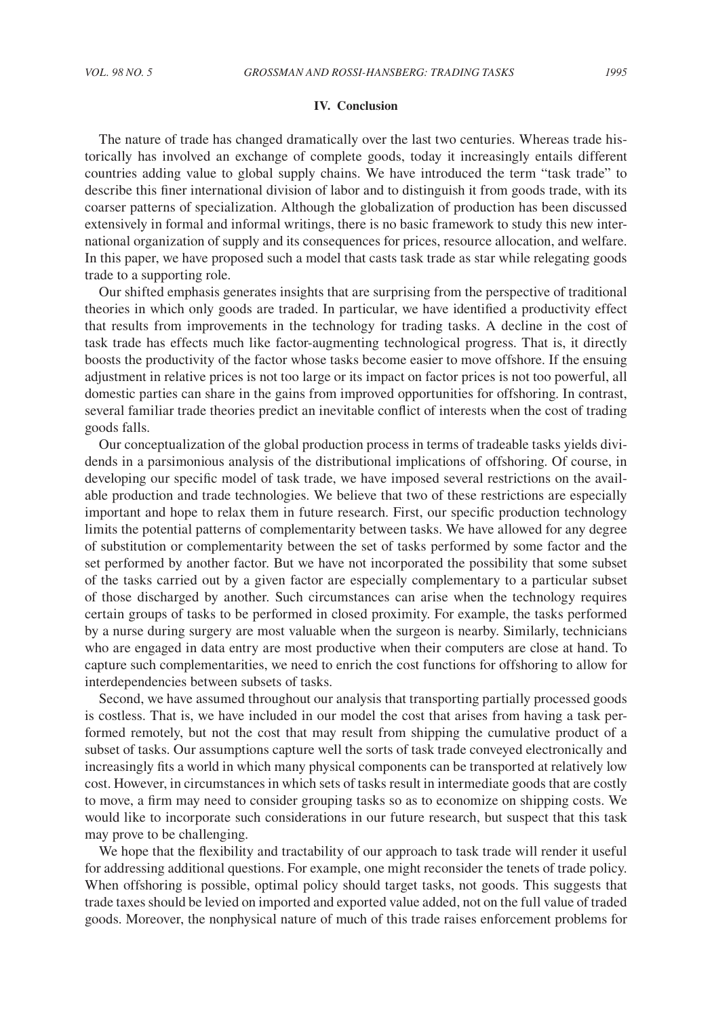#### **IV. Conclusion**

The nature of trade has changed dramatically over the last two centuries. Whereas trade historically has involved an exchange of complete goods, today it increasingly entails different countries adding value to global supply chains. We have introduced the term "task trade" to describe this finer international division of labor and to distinguish it from goods trade, with its coarser patterns of specialization. Although the globalization of production has been discussed extensively in formal and informal writings, there is no basic framework to study this new international organization of supply and its consequences for prices, resource allocation, and welfare. In this paper, we have proposed such a model that casts task trade as star while relegating goods trade to a supporting role.

Our shifted emphasis generates insights that are surprising from the perspective of traditional theories in which only goods are traded. In particular, we have identified a productivity effect that results from improvements in the technology for trading tasks. A decline in the cost of task trade has effects much like factor-augmenting technological progress. That is, it directly boosts the productivity of the factor whose tasks become easier to move offshore. If the ensuing adjustment in relative prices is not too large or its impact on factor prices is not too powerful, all domestic parties can share in the gains from improved opportunities for offshoring. In contrast, several familiar trade theories predict an inevitable conflict of interests when the cost of trading goods falls.

Our conceptualization of the global production process in terms of tradeable tasks yields dividends in a parsimonious analysis of the distributional implications of offshoring. Of course, in developing our specific model of task trade, we have imposed several restrictions on the available production and trade technologies. We believe that two of these restrictions are especially important and hope to relax them in future research. First, our specific production technology limits the potential patterns of complementarity between tasks. We have allowed for any degree of substitution or complementarity between the set of tasks performed by some factor and the set performed by another factor. But we have not incorporated the possibility that some subset of the tasks carried out by a given factor are especially complementary to a particular subset of those discharged by another. Such circumstances can arise when the technology requires certain groups of tasks to be performed in closed proximity. For example, the tasks performed by a nurse during surgery are most valuable when the surgeon is nearby. Similarly, technicians who are engaged in data entry are most productive when their computers are close at hand. To capture such complementarities, we need to enrich the cost functions for offshoring to allow for interdependencies between subsets of tasks.

Second, we have assumed throughout our analysis that transporting partially processed goods is costless. That is, we have included in our model the cost that arises from having a task performed remotely, but not the cost that may result from shipping the cumulative product of a subset of tasks. Our assumptions capture well the sorts of task trade conveyed electronically and increasingly fits a world in which many physical components can be transported at relatively low cost. However, in circumstances in which sets of tasks result in intermediate goods that are costly to move, a firm may need to consider grouping tasks so as to economize on shipping costs. We would like to incorporate such considerations in our future research, but suspect that this task may prove to be challenging.

We hope that the flexibility and tractability of our approach to task trade will render it useful for addressing additional questions. For example, one might reconsider the tenets of trade policy. When offshoring is possible, optimal policy should target tasks, not goods. This suggests that trade taxes should be levied on imported and exported value added, not on the full value of traded goods. Moreover, the nonphysical nature of much of this trade raises enforcement problems for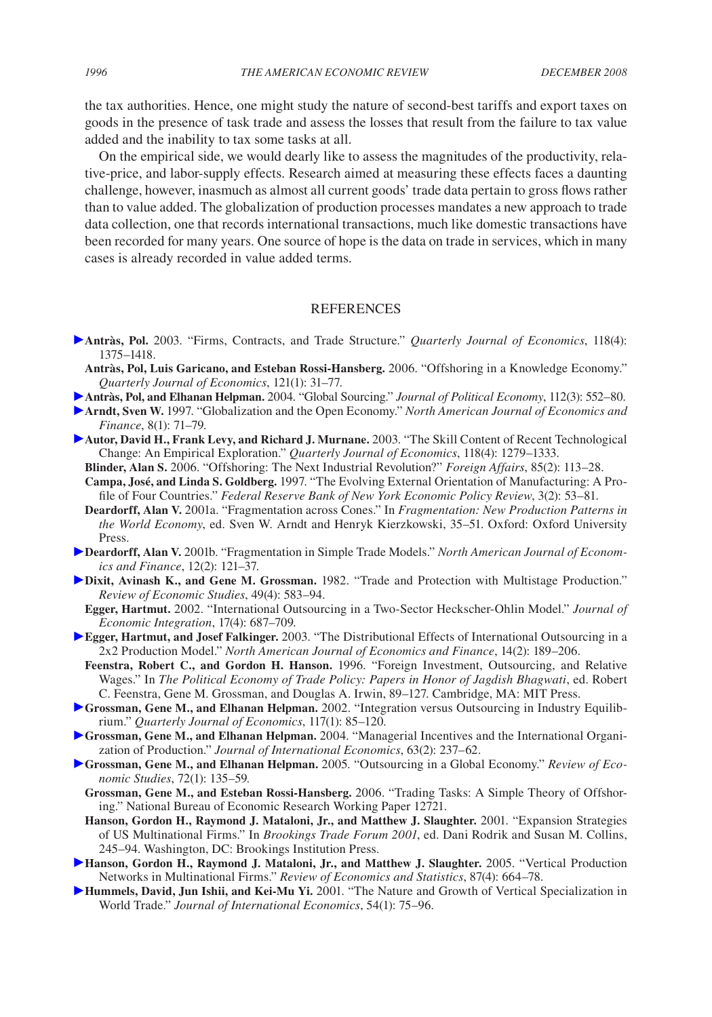the tax authorities. Hence, one might study the nature of second-best tariffs and export taxes on goods in the presence of task trade and assess the losses that result from the failure to tax value added and the inability to tax some tasks at all.

On the empirical side, we would dearly like to assess the magnitudes of the productivity, relative-price, and labor-supply effects. Research aimed at measuring these effects faces a daunting challenge, however, inasmuch as almost all current goods' trade data pertain to gross flows rather than to value added. The globalization of production processes mandates a new approach to trade data collection, one that records international transactions, much like domestic transactions have been recorded for many years. One source of hope is the data on trade in services, which in many cases is already recorded in value added terms.

# **REFERENCES**

- **Antràs, Pol.** 2003. "Firms, Contracts, and Trade Structure." *Quarterly Journal of Economics*, 118(4): 1375–1418.
	- **Antràs, Pol, Luis Garicano, and Esteban Rossi-Hansberg.** 2006. "Offshoring in a Knowledge Economy." *Quarterly Journal of Economics*, 121(1): 31–77.
- **Antràs, Pol, and Elhanan Helpman.** 2004. "Global Sourcing." *Journal of Political Economy*, 112(3): 552–80.
- **Arndt, Sven W.** 1997. "Globalization and the Open Economy." *North American Journal of Economics and Finance*, 8(1): 71–79.
- **Autor, David H., Frank Levy, and Richard J. Murnane.** 2003. "The Skill Content of Recent Technological Change: An Empirical Exploration." *Quarterly Journal of Economics*, 118(4): 1279–1333.
	- **Blinder, Alan S.** 2006. "Offshoring: The Next Industrial Revolution?" *Foreign Affairs*, 85(2): 113–28.
	- **Campa, José, and Linda S. Goldberg.** 1997. "The Evolving External Orientation of Manufacturing: A Profile of Four Countries." *Federal Reserve Bank of New York Economic Policy Review*, 3(2): 53–81.
	- **Deardorff, Alan V.** 2001a. "Fragmentation across Cones." In *Fragmentation: New Production Patterns in the World Economy*, ed. Sven W. Arndt and Henryk Kierzkowski, 35–51. Oxford: Oxford University Press.
- **Deardorff, Alan V.** 2001b. "Fragmentation in Simple Trade Models." *North American Journal of Economics and Finance*, 12(2): 121–37.
- **Dixit, Avinash K., and Gene M. Grossman.** 1982. "Trade and Protection with Multistage Production." *Review of Economic Studies*, 49(4): 583–94.
- **Egger, Hartmut.** 2002. "International Outsourcing in a Two-Sector Heckscher-Ohlin Model." *Journal of Economic Integration*, 17(4): 687–709.
- **Egger, Hartmut, and Josef Falkinger.** 2003. "The Distributional Effects of International Outsourcing in a 2x2 Production Model." *North American Journal of Economics and Finance*, 14(2): 189–206.
	- **Feenstra, Robert C., and Gordon H. Hanson.** 1996. "Foreign Investment, Outsourcing, and Relative Wages." In *The Political Economy of Trade Policy: Papers in Honor of Jagdish Bhagwati*, ed. Robert C. Feenstra, Gene M. Grossman, and Douglas A. Irwin, 89–127. Cambridge, MA: MIT Press.
- **Grossman, Gene M., and Elhanan Helpman.** 2002. "Integration versus Outsourcing in Industry Equilibrium." *Quarterly Journal of Economics*, 117(1): 85–120.
- **Grossman, Gene M., and Elhanan Helpman.** 2004. "Managerial Incentives and the International Organization of Production." *Journal of International Economics*, 63(2): 237–62.
- **Grossman, Gene M., and Elhanan Helpman.** 2005. "Outsourcing in a Global Economy." *Review of Economic Studies*, 72(1): 135–59.
	- **Grossman, Gene M., and Esteban Rossi-Hansberg.** 2006. "Trading Tasks: A Simple Theory of Offshoring." National Bureau of Economic Research Working Paper 12721.
	- **Hanson, Gordon H., Raymond J. Mataloni, Jr., and Matthew J. Slaughter.** 2001. "Expansion Strategies of US Multinational Firms." In *Brookings Trade Forum 2001*, ed. Dani Rodrik and Susan M. Collins, 245–94. Washington, DC: Brookings Institution Press.
- **Hanson, Gordon H., Raymond J. Mataloni, Jr., and Matthew J. Slaughter.** 2005. "Vertical Production Networks in Multinational Firms." *Review of Economics and Statistics*, 87(4): 664–78.
- **Hummels, David, Jun Ishii, and Kei-Mu Yi.** 2001. "The Nature and Growth of Vertical Specialization in World Trade." *Journal of International Economics*, 54(1): 75–96.